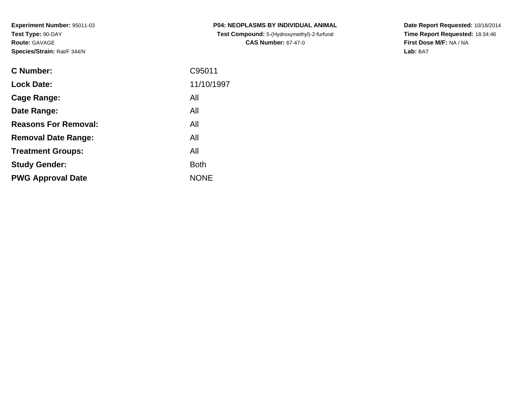**Experiment Number:** 95011-03**Test Type:** 90-DAY**Route:** GAVAGE**Species/Strain:** Rat/F 344/N

| <b>C Number:</b>            | C95011      |
|-----------------------------|-------------|
| <b>Lock Date:</b>           | 11/10/1997  |
| <b>Cage Range:</b>          | All         |
| Date Range:                 | All         |
| <b>Reasons For Removal:</b> | All         |
| <b>Removal Date Range:</b>  | All         |
| <b>Treatment Groups:</b>    | All         |
| <b>Study Gender:</b>        | <b>Both</b> |
| <b>PWG Approval Date</b>    | <b>NONE</b> |
|                             |             |

**P04: NEOPLASMS BY INDIVIDUAL ANIMAL Test Compound:** 5-(Hydroxymethyl)-2-furfural **CAS Number:** 67-47-0

**Date Report Requested:** 10/18/2014 **Time Report Requested:** 18:34:46**First Dose M/F:** NA / NA**Lab:** BAT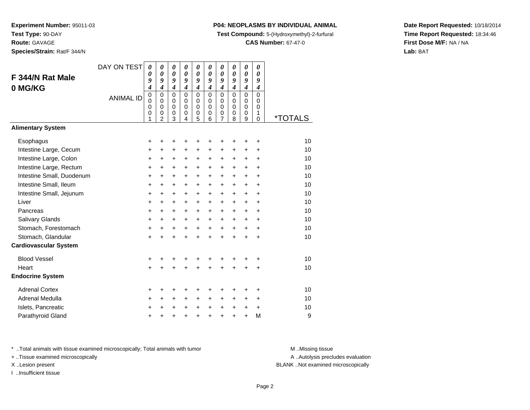**Route:** GAVAGE

**Species/Strain:** Rat/F 344/N

#### **P04: NEOPLASMS BY INDIVIDUAL ANIMAL**

**Test Compound:** 5-(Hydroxymethyl)-2-furfural

**CAS Number:** 67-47-0

**Date Report Requested:** 10/18/2014**Time Report Requested:** 18:34:46**First Dose M/F:** NA / NA**Lab:** BAT

| F 344/N Rat Male<br>0 MG/KG<br><b>Alimentary System</b> | DAY ON TEST<br><b>ANIMAL ID</b> | $\boldsymbol{\theta}$<br>$\boldsymbol{\theta}$<br>9<br>$\boldsymbol{4}$<br>$\mathbf 0$<br>$\mathbf 0$<br>$\mathbf 0$<br>$\mathbf 0$<br>1 | $\boldsymbol{\theta}$<br>$\boldsymbol{\theta}$<br>9<br>$\overline{\boldsymbol{4}}$<br>$\mathbf 0$<br>$\Omega$<br>$\mathbf 0$<br>$\pmb{0}$<br>$\overline{c}$ | 0<br>$\boldsymbol{\theta}$<br>9<br>$\overline{4}$<br>$\Omega$<br>0<br>$\mathbf 0$<br>$\mathbf 0$<br>3 | $\boldsymbol{\theta}$<br>0<br>9<br>$\boldsymbol{4}$<br>$\Omega$<br>$\Omega$<br>$\Omega$<br>0<br>4 | $\boldsymbol{\theta}$<br>$\theta$<br>9<br>$\boldsymbol{4}$<br>$\mathbf 0$<br>0<br>$\pmb{0}$<br>$\pmb{0}$<br>5 | 0<br>$\theta$<br>9<br>$\overline{\boldsymbol{4}}$<br>$\Omega$<br>$\Omega$<br>$\Omega$<br>0<br>6 | 0<br>0<br>9<br>$\overline{\boldsymbol{4}}$<br>$\overline{0}$<br>0<br>$\mathbf 0$<br>0<br>$\overline{7}$ | 0<br>0<br>9<br>$\overline{4}$<br>$\Omega$<br>$\Omega$<br>$\Omega$<br>0<br>8 | $\boldsymbol{\theta}$<br>$\boldsymbol{\theta}$<br>9<br>$\overline{\boldsymbol{4}}$<br>$\mathbf 0$<br>$\mathbf 0$<br>$\mathbf 0$<br>$\mathbf 0$<br>9 | 0<br>$\boldsymbol{\theta}$<br>9<br>$\boldsymbol{4}$<br>$\mathbf 0$<br>0<br>$\mathbf 0$<br>1<br>$\mathbf 0$ | *TOTALS |
|---------------------------------------------------------|---------------------------------|------------------------------------------------------------------------------------------------------------------------------------------|-------------------------------------------------------------------------------------------------------------------------------------------------------------|-------------------------------------------------------------------------------------------------------|---------------------------------------------------------------------------------------------------|---------------------------------------------------------------------------------------------------------------|-------------------------------------------------------------------------------------------------|---------------------------------------------------------------------------------------------------------|-----------------------------------------------------------------------------|-----------------------------------------------------------------------------------------------------------------------------------------------------|------------------------------------------------------------------------------------------------------------|---------|
|                                                         |                                 |                                                                                                                                          |                                                                                                                                                             |                                                                                                       |                                                                                                   |                                                                                                               |                                                                                                 |                                                                                                         |                                                                             |                                                                                                                                                     |                                                                                                            |         |
| Esophagus                                               |                                 | +                                                                                                                                        | +                                                                                                                                                           | +                                                                                                     | +                                                                                                 | +                                                                                                             | +                                                                                               | +                                                                                                       | +                                                                           | ٠                                                                                                                                                   | +                                                                                                          | 10      |
| Intestine Large, Cecum                                  |                                 | +                                                                                                                                        | +                                                                                                                                                           | +                                                                                                     | +                                                                                                 | +                                                                                                             | +                                                                                               | +                                                                                                       | +                                                                           | +                                                                                                                                                   | $\ddot{}$                                                                                                  | 10      |
| Intestine Large, Colon                                  |                                 | $\ddot{}$                                                                                                                                | +                                                                                                                                                           | +                                                                                                     | +                                                                                                 | $\ddot{}$                                                                                                     | $\ddot{}$                                                                                       | +                                                                                                       | $\ddot{}$                                                                   | $\ddot{}$                                                                                                                                           | $\ddot{}$                                                                                                  | 10      |
| Intestine Large, Rectum                                 |                                 | $\ddot{}$                                                                                                                                | $\ddot{}$                                                                                                                                                   | +                                                                                                     | +                                                                                                 | $\ddot{}$                                                                                                     | $\ddot{}$                                                                                       | $\ddot{}$                                                                                               | $\ddot{}$                                                                   | $\ddot{}$                                                                                                                                           | +                                                                                                          | 10      |
| Intestine Small, Duodenum                               |                                 | $\ddot{}$                                                                                                                                | $\ddot{}$                                                                                                                                                   | $\ddot{}$                                                                                             | +                                                                                                 | $\ddot{}$                                                                                                     | $\ddot{}$                                                                                       | $\ddot{}$                                                                                               | $\ddot{}$                                                                   | $\ddot{}$                                                                                                                                           | $\ddot{}$                                                                                                  | 10      |
| Intestine Small, Ileum                                  |                                 | $\ddot{}$                                                                                                                                | $\ddot{}$                                                                                                                                                   | +                                                                                                     | +                                                                                                 | +                                                                                                             | $\ddot{}$                                                                                       | +                                                                                                       | +                                                                           | +                                                                                                                                                   | $\ddot{}$                                                                                                  | 10      |
| Intestine Small, Jejunum                                |                                 | $\ddot{}$                                                                                                                                | $\ddot{}$                                                                                                                                                   | $\ddot{}$                                                                                             | $\ddot{}$                                                                                         | $\ddot{}$                                                                                                     | $\ddot{}$                                                                                       | $\ddot{}$                                                                                               | $\ddot{}$                                                                   | $\ddot{}$                                                                                                                                           | $\ddot{}$                                                                                                  | 10      |
| Liver                                                   |                                 | $\ddot{}$                                                                                                                                | $+$                                                                                                                                                         | $\ddot{}$                                                                                             | $\ddot{}$                                                                                         | $\ddot{}$                                                                                                     | $+$                                                                                             | $+$                                                                                                     | $+$                                                                         | $\ddot{}$                                                                                                                                           | $\ddot{}$                                                                                                  | 10      |
| Pancreas                                                |                                 | $\ddot{}$                                                                                                                                | $\ddot{}$                                                                                                                                                   | $\ddot{}$                                                                                             | $\ddot{}$                                                                                         | $+$                                                                                                           | $\ddot{}$                                                                                       | $\ddot{}$                                                                                               | $+$                                                                         | $+$                                                                                                                                                 | $\ddot{}$                                                                                                  | 10      |
| Salivary Glands                                         |                                 | $\ddot{}$                                                                                                                                | +                                                                                                                                                           | $\ddot{}$                                                                                             | $\ddot{}$                                                                                         | $\ddot{}$                                                                                                     | $\ddot{}$                                                                                       | +                                                                                                       | $\ddot{}$                                                                   | $\ddot{}$                                                                                                                                           | $\ddot{}$                                                                                                  | 10      |
| Stomach, Forestomach                                    |                                 | +                                                                                                                                        | $\ddot{}$                                                                                                                                                   | $\ddot{}$                                                                                             | $\ddot{}$                                                                                         | $+$                                                                                                           | $\ddot{}$                                                                                       | $\ddot{}$                                                                                               | $\ddot{}$                                                                   | $\ddot{}$                                                                                                                                           | $\ddot{}$                                                                                                  | 10      |
| Stomach, Glandular                                      |                                 | $\ddot{}$                                                                                                                                | $\ddot{}$                                                                                                                                                   | $\ddot{}$                                                                                             | $\ddot{}$                                                                                         | $\ddot{}$                                                                                                     | $\ddot{}$                                                                                       | $\ddot{}$                                                                                               | $\ddot{}$                                                                   | $\ddot{}$                                                                                                                                           | $\ddot{}$                                                                                                  | 10      |
| <b>Cardiovascular System</b>                            |                                 |                                                                                                                                          |                                                                                                                                                             |                                                                                                       |                                                                                                   |                                                                                                               |                                                                                                 |                                                                                                         |                                                                             |                                                                                                                                                     |                                                                                                            |         |
| <b>Blood Vessel</b>                                     |                                 | +                                                                                                                                        |                                                                                                                                                             | +                                                                                                     | +                                                                                                 | +                                                                                                             | +                                                                                               | +                                                                                                       |                                                                             |                                                                                                                                                     | +                                                                                                          | 10      |
| Heart                                                   |                                 | $\ddot{}$                                                                                                                                |                                                                                                                                                             | $\ddot{}$                                                                                             | $\ddot{}$                                                                                         | $\ddot{}$                                                                                                     | $\ddot{}$                                                                                       | $\ddot{}$                                                                                               | $\ddot{}$                                                                   | $\ddot{}$                                                                                                                                           | $\ddot{}$                                                                                                  | 10      |
| <b>Endocrine System</b>                                 |                                 |                                                                                                                                          |                                                                                                                                                             |                                                                                                       |                                                                                                   |                                                                                                               |                                                                                                 |                                                                                                         |                                                                             |                                                                                                                                                     |                                                                                                            |         |
| <b>Adrenal Cortex</b>                                   |                                 | +                                                                                                                                        | +                                                                                                                                                           | +                                                                                                     | +                                                                                                 | +                                                                                                             | +                                                                                               | +                                                                                                       | +                                                                           | +                                                                                                                                                   | +                                                                                                          | 10      |
| Adrenal Medulla                                         |                                 | $\ddot{}$                                                                                                                                | $\ddot{}$                                                                                                                                                   | +                                                                                                     | +                                                                                                 | $\ddot{}$                                                                                                     | $\ddot{}$                                                                                       | +                                                                                                       | +                                                                           | +                                                                                                                                                   | $\ddot{}$                                                                                                  | 10      |
| Islets, Pancreatic                                      |                                 | +                                                                                                                                        | +                                                                                                                                                           | +                                                                                                     | +                                                                                                 | $\ddot{}$                                                                                                     | $\ddot{}$                                                                                       | $\ddot{}$                                                                                               | +                                                                           | $\ddot{}$                                                                                                                                           | +                                                                                                          | 10      |
| Parathyroid Gland                                       |                                 | +                                                                                                                                        |                                                                                                                                                             | +                                                                                                     | +                                                                                                 | $\ddot{}$                                                                                                     | $\ddot{}$                                                                                       | +                                                                                                       | +                                                                           | $\ddot{}$                                                                                                                                           | M                                                                                                          | 9       |

\* ..Total animals with tissue examined microscopically; Total animals with tumor **M** . Missing tissue M ..Missing tissue

+ ..Tissue examined microscopically

I ..Insufficient tissue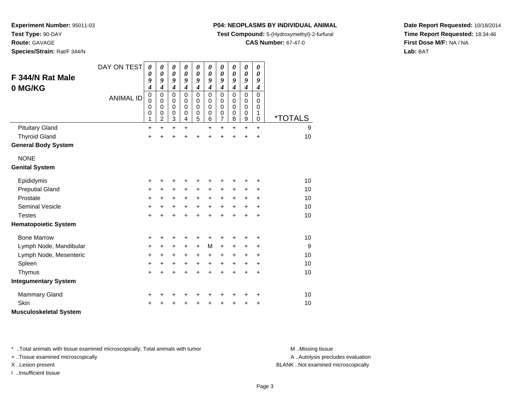**Test Type:** 90-DAY

**Route:** GAVAGE

**Species/Strain:** Rat/F 344/N

## **P04: NEOPLASMS BY INDIVIDUAL ANIMAL**

**Test Compound:** 5-(Hydroxymethyl)-2-furfural

**CAS Number:** 67-47-0

**Date Report Requested:** 10/18/2014**Time Report Requested:** 18:34:46**First Dose M/F:** NA / NA**Lab:** BAT

| F 344/N Rat Male<br>0 MG/KG   | DAY ON TEST<br><b>ANIMAL ID</b> | $\boldsymbol{\theta}$<br>0<br>9<br>4<br>$\mathbf 0$<br>0 | 0<br>0<br>9<br>$\boldsymbol{4}$<br>$\mathbf 0$<br>0 | 0<br>$\boldsymbol{\theta}$<br>9<br>$\boldsymbol{4}$<br>$\mathbf 0$<br>0 | 0<br>0<br>9<br>$\boldsymbol{4}$<br>$\mathbf 0$<br>0 | 0<br>0<br>9<br>$\boldsymbol{4}$<br>$\mathbf 0$<br>0 | 0<br>0<br>9<br>$\boldsymbol{4}$<br>$\mathbf 0$<br>0 | 0<br>$\boldsymbol{\theta}$<br>9<br>$\boldsymbol{4}$<br>$\mathbf 0$<br>0 | 0<br>0<br>9<br>$\boldsymbol{4}$<br>$\mathbf 0$<br>0 | $\boldsymbol{\theta}$<br>$\boldsymbol{\theta}$<br>9<br>$\boldsymbol{4}$<br>$\mathbf 0$<br>0 | 0<br>0<br>9<br>$\boldsymbol{4}$<br>$\overline{0}$<br>0 |                       |
|-------------------------------|---------------------------------|----------------------------------------------------------|-----------------------------------------------------|-------------------------------------------------------------------------|-----------------------------------------------------|-----------------------------------------------------|-----------------------------------------------------|-------------------------------------------------------------------------|-----------------------------------------------------|---------------------------------------------------------------------------------------------|--------------------------------------------------------|-----------------------|
|                               |                                 | $\Omega$<br>$\pmb{0}$<br>1                               | $\Omega$<br>$\mathbf 0$<br>$\overline{2}$           | $\mathbf 0$<br>$\mathbf 0$<br>3                                         | $\mathbf 0$<br>$\mathbf 0$<br>4                     | $\mathbf 0$<br>$\pmb{0}$<br>5                       | 0<br>0<br>6                                         | $\mathbf 0$<br>$\pmb{0}$<br>$\overline{7}$                              | 0<br>0<br>8                                         | 0<br>$\mathbf 0$<br>$\boldsymbol{9}$                                                        | 0<br>1<br>0                                            | <i><b>*TOTALS</b></i> |
| <b>Pituitary Gland</b>        |                                 | $\ddot{}$                                                | $\ddot{}$                                           | $\ddot{}$                                                               | $\ddot{}$                                           |                                                     | $\ddot{}$                                           | $\ddot{}$                                                               | +                                                   | $\ddot{}$                                                                                   | $\ddot{}$                                              | 9                     |
| <b>Thyroid Gland</b>          |                                 | +                                                        | $\ddot{}$                                           | $\ddot{}$                                                               | $\ddot{}$                                           | $\ddot{}$                                           | $\ddot{}$                                           | $\ddot{}$                                                               | $\ddot{}$                                           | $\ddot{}$                                                                                   | $\ddot{}$                                              | 10                    |
| <b>General Body System</b>    |                                 |                                                          |                                                     |                                                                         |                                                     |                                                     |                                                     |                                                                         |                                                     |                                                                                             |                                                        |                       |
| <b>NONE</b>                   |                                 |                                                          |                                                     |                                                                         |                                                     |                                                     |                                                     |                                                                         |                                                     |                                                                                             |                                                        |                       |
| <b>Genital System</b>         |                                 |                                                          |                                                     |                                                                         |                                                     |                                                     |                                                     |                                                                         |                                                     |                                                                                             |                                                        |                       |
| Epididymis                    |                                 | +                                                        | ٠                                                   | +                                                                       | ٠                                                   | ٠                                                   | ٠                                                   | +                                                                       | +                                                   | +                                                                                           | +                                                      | 10                    |
| <b>Preputial Gland</b>        |                                 | +                                                        | +                                                   | +                                                                       | $\ddot{}$                                           | +                                                   | +                                                   | +                                                                       | +                                                   | +                                                                                           | +                                                      | 10                    |
| Prostate                      |                                 | +                                                        | +                                                   | +                                                                       | +                                                   | +                                                   | $\ddot{}$                                           | $\ddot{}$                                                               | $\ddot{}$                                           | $\ddot{}$                                                                                   | +                                                      | 10                    |
| <b>Seminal Vesicle</b>        |                                 | +                                                        | $\pm$                                               | +                                                                       | $\ddot{}$                                           | $\ddot{}$                                           | $\ddot{}$                                           | $\ddot{}$                                                               | $\ddot{}$                                           | $\ddot{}$                                                                                   | $\ddot{}$                                              | 10                    |
| <b>Testes</b>                 |                                 | $\ddot{}$                                                | $\ddot{}$                                           | $\ddot{}$                                                               | $\ddot{}$                                           | $\ddot{}$                                           | $\ddot{}$                                           | $\ddot{}$                                                               | $\ddot{}$                                           | $\ddot{}$                                                                                   | $\ddot{}$                                              | 10                    |
| <b>Hematopoietic System</b>   |                                 |                                                          |                                                     |                                                                         |                                                     |                                                     |                                                     |                                                                         |                                                     |                                                                                             |                                                        |                       |
| <b>Bone Marrow</b>            |                                 | +                                                        | +                                                   | +                                                                       | +                                                   | +                                                   | +                                                   | +                                                                       | +                                                   | +                                                                                           | +                                                      | 10                    |
| Lymph Node, Mandibular        |                                 | +                                                        | $\ddot{}$                                           | +                                                                       | $\ddot{}$                                           | $+$                                                 | M                                                   | $\ddot{}$                                                               | +                                                   | +                                                                                           | +                                                      | 9                     |
| Lymph Node, Mesenteric        |                                 | +                                                        | +                                                   | $\ddot{}$                                                               | $\ddot{}$                                           | $\ddot{}$                                           | $\ddot{}$                                           | $\ddot{}$                                                               | +                                                   | +                                                                                           | +                                                      | 10                    |
| Spleen                        |                                 | +                                                        | +                                                   | +                                                                       | +                                                   | $\ddot{}$                                           | +                                                   | $\ddot{}$                                                               | +                                                   | $\ddot{}$                                                                                   | +                                                      | 10                    |
| Thymus                        |                                 | $\ddot{}$                                                | $\ddot{}$                                           | $\ddot{}$                                                               | $\ddot{}$                                           | $\ddot{}$                                           | $\ddot{}$                                           | $\ddot{}$                                                               | $\ddot{}$                                           | $\ddot{}$                                                                                   | $\ddot{}$                                              | 10                    |
| <b>Integumentary System</b>   |                                 |                                                          |                                                     |                                                                         |                                                     |                                                     |                                                     |                                                                         |                                                     |                                                                                             |                                                        |                       |
| <b>Mammary Gland</b>          |                                 | +                                                        | +                                                   | +                                                                       | +                                                   | +                                                   | +                                                   | +                                                                       | +                                                   | +                                                                                           | +                                                      | 10                    |
| Skin                          |                                 | +                                                        |                                                     | +                                                                       | +                                                   | +                                                   | +                                                   | +                                                                       | +                                                   | +                                                                                           | +                                                      | 10                    |
| <b>Musculoskeletal System</b> |                                 |                                                          |                                                     |                                                                         |                                                     |                                                     |                                                     |                                                                         |                                                     |                                                                                             |                                                        |                       |

\* ..Total animals with tissue examined microscopically; Total animals with tumor **M** . Missing tissue M ..Missing tissue

+ ..Tissue examined microscopically

I ..Insufficient tissue

A ..Autolysis precludes evaluation

X ..Lesion present BLANK ..Not examined microscopically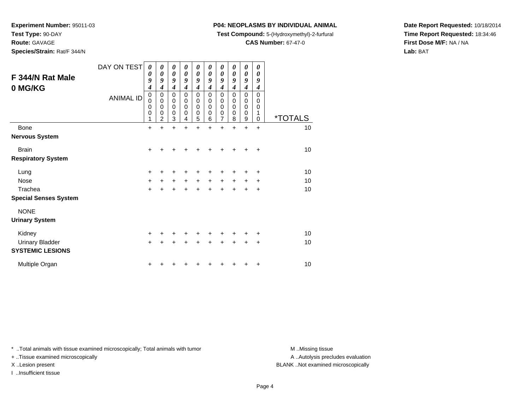**Test Type:** 90-DAY

**Route:** GAVAGE

**Species/Strain:** Rat/F 344/N

## **P04: NEOPLASMS BY INDIVIDUAL ANIMAL**

**Test Compound:** 5-(Hydroxymethyl)-2-furfural

**CAS Number:** 67-47-0

**Date Report Requested:** 10/18/2014**Time Report Requested:** 18:34:46**First Dose M/F:** NA / NA**Lab:** BAT

| F 344/N Rat Male<br>0 MG/KG  | DAY ON TEST<br><b>ANIMAL ID</b> | 0<br>0<br>9<br>4<br>0<br>0<br>0<br>0<br>1 | 0<br>0<br>9<br>4<br>$\mathbf 0$<br>$\mathbf 0$<br>$\mathbf 0$<br>0<br>$\overline{2}$ | 0<br>$\boldsymbol{\theta}$<br>9<br>$\boldsymbol{4}$<br>0<br>$\mathsf 0$<br>$\mathbf 0$<br>$\mathbf 0$<br>3 | 0<br>0<br>9<br>4<br>0<br>0<br>0<br>0<br>4 | 0<br>$\boldsymbol{\theta}$<br>9<br>4<br>$\mathbf 0$<br>$\mathbf 0$<br>$\mathbf 0$<br>$\mathbf 0$<br>5 | 0<br>$\boldsymbol{\theta}$<br>9<br>4<br>$\mathbf 0$<br>$\mathbf 0$<br>$\mathbf 0$<br>0<br>6 | 0<br>$\boldsymbol{\theta}$<br>9<br>$\boldsymbol{4}$<br>$\mathbf 0$<br>0<br>$\mathbf 0$<br>0<br>$\overline{7}$ | 0<br>0<br>9<br>4<br>$\mathbf 0$<br>0<br>0<br>0<br>8 | 0<br>$\boldsymbol{\theta}$<br>9<br>$\boldsymbol{4}$<br>$\mathbf 0$<br>$\pmb{0}$<br>$\mathbf 0$<br>$\mathbf 0$<br>9 | $\boldsymbol{\theta}$<br>0<br>9<br>4<br>$\Omega$<br>$\mathbf 0$<br>$\mathbf 0$<br>1<br>$\mathbf 0$ | <i><b>*TOTALS</b></i> |
|------------------------------|---------------------------------|-------------------------------------------|--------------------------------------------------------------------------------------|------------------------------------------------------------------------------------------------------------|-------------------------------------------|-------------------------------------------------------------------------------------------------------|---------------------------------------------------------------------------------------------|---------------------------------------------------------------------------------------------------------------|-----------------------------------------------------|--------------------------------------------------------------------------------------------------------------------|----------------------------------------------------------------------------------------------------|-----------------------|
| <b>Bone</b>                  |                                 | $\ddot{}$                                 | $\ddot{}$                                                                            | $\ddot{}$                                                                                                  | $\ddot{}$                                 | $\ddot{}$                                                                                             | $\ddot{}$                                                                                   | $\ddot{}$                                                                                                     | $\ddot{}$                                           | $\ddot{}$                                                                                                          | $\ddot{}$                                                                                          | 10                    |
| <b>Nervous System</b>        |                                 |                                           |                                                                                      |                                                                                                            |                                           |                                                                                                       |                                                                                             |                                                                                                               |                                                     |                                                                                                                    |                                                                                                    |                       |
| <b>Brain</b>                 |                                 | $\ddot{}$                                 |                                                                                      |                                                                                                            |                                           |                                                                                                       |                                                                                             |                                                                                                               |                                                     |                                                                                                                    | ÷                                                                                                  | 10                    |
| <b>Respiratory System</b>    |                                 |                                           |                                                                                      |                                                                                                            |                                           |                                                                                                       |                                                                                             |                                                                                                               |                                                     |                                                                                                                    |                                                                                                    |                       |
| Lung                         |                                 | $\ddot{}$                                 | +                                                                                    | +                                                                                                          | +                                         | ٠                                                                                                     | +                                                                                           | +                                                                                                             | +                                                   | +                                                                                                                  | $\ddot{}$                                                                                          | 10                    |
| <b>Nose</b>                  |                                 | $\ddot{}$                                 | $+$                                                                                  | $\ddot{}$                                                                                                  | $+$                                       | $\ddot{}$                                                                                             | $+$                                                                                         | $\ddot{}$                                                                                                     | $\ddot{}$                                           | $\ddot{}$                                                                                                          | $\ddot{}$                                                                                          | 10                    |
| Trachea                      |                                 | $\ddot{}$                                 | +                                                                                    | $\ddot{}$                                                                                                  | $\ddot{}$                                 | $\ddot{}$                                                                                             | $\ddot{}$                                                                                   | $\ddot{}$                                                                                                     | $\ddot{}$                                           | $\ddot{}$                                                                                                          | $\ddot{}$                                                                                          | 10                    |
| <b>Special Senses System</b> |                                 |                                           |                                                                                      |                                                                                                            |                                           |                                                                                                       |                                                                                             |                                                                                                               |                                                     |                                                                                                                    |                                                                                                    |                       |
| <b>NONE</b>                  |                                 |                                           |                                                                                      |                                                                                                            |                                           |                                                                                                       |                                                                                             |                                                                                                               |                                                     |                                                                                                                    |                                                                                                    |                       |
| <b>Urinary System</b>        |                                 |                                           |                                                                                      |                                                                                                            |                                           |                                                                                                       |                                                                                             |                                                                                                               |                                                     |                                                                                                                    |                                                                                                    |                       |
| Kidney                       |                                 | $\ddot{}$                                 |                                                                                      | +                                                                                                          | $+$                                       | +                                                                                                     | $\pm$                                                                                       | +                                                                                                             |                                                     | ٠                                                                                                                  | $\ddot{}$                                                                                          | 10                    |
| <b>Urinary Bladder</b>       |                                 | $\ddot{}$                                 |                                                                                      | $\ddot{}$                                                                                                  | $\ddot{}$                                 | $\ddot{}$                                                                                             | $\ddot{}$                                                                                   | $\ddot{}$                                                                                                     | $\ddot{}$                                           | $\ddot{}$                                                                                                          | $\ddot{}$                                                                                          | 10                    |
| <b>SYSTEMIC LESIONS</b>      |                                 |                                           |                                                                                      |                                                                                                            |                                           |                                                                                                       |                                                                                             |                                                                                                               |                                                     |                                                                                                                    |                                                                                                    |                       |
| Multiple Organ               |                                 | +                                         |                                                                                      |                                                                                                            |                                           |                                                                                                       |                                                                                             |                                                                                                               |                                                     | +                                                                                                                  | +                                                                                                  | 10                    |

\* ..Total animals with tissue examined microscopically; Total animals with tumor **M** . Missing tissue M ..Missing tissue

+ ..Tissue examined microscopically

I ..Insufficient tissue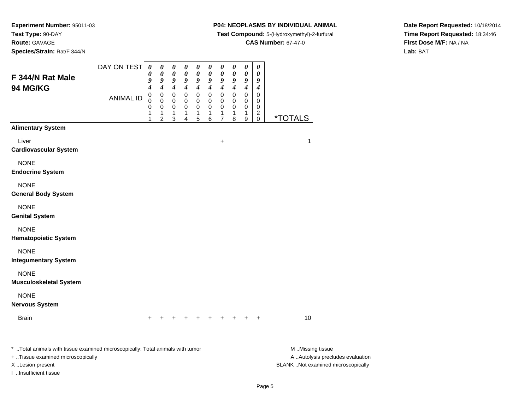**Species/Strain:** Rat/F 344/N

I ..Insufficient tissue

#### **P04: NEOPLASMS BY INDIVIDUAL ANIMAL**

**Test Compound:** 5-(Hydroxymethyl)-2-furfural

**CAS Number:** 67-47-0

**Date Report Requested:** 10/18/2014**Time Report Requested:** 18:34:46**First Dose M/F:** NA / NA**Lab:** BAT

| F 344/N Rat Male                                                                                                                        | DAY ON TEST      | $\boldsymbol{\theta}$<br>$\boldsymbol{\theta}$<br>9<br>4 | $\boldsymbol{\theta}$<br>0<br>9<br>4         | $\boldsymbol{\theta}$<br>0<br>9           | $\pmb{\theta}$<br>0<br>9<br>$\boldsymbol{4}$ | 0<br>0<br>9<br>$\boldsymbol{4}$ | 0<br>0<br>9<br>4      | 0<br>0<br>9<br>$\boldsymbol{4}$    | 0<br>0<br>9                | $\boldsymbol{\theta}$<br>0<br>9 | $\boldsymbol{\theta}$<br>0<br>9                 |                                                                                             |
|-----------------------------------------------------------------------------------------------------------------------------------------|------------------|----------------------------------------------------------|----------------------------------------------|-------------------------------------------|----------------------------------------------|---------------------------------|-----------------------|------------------------------------|----------------------------|---------------------------------|-------------------------------------------------|---------------------------------------------------------------------------------------------|
| 94 MG/KG                                                                                                                                | <b>ANIMAL ID</b> | $\pmb{0}$<br>0<br>0<br>1<br>1                            | 0<br>$\mathbf 0$<br>0<br>1<br>$\overline{c}$ | $\boldsymbol{4}$<br>0<br>0<br>0<br>1<br>3 | 0<br>0<br>0<br>1<br>4                        | 0<br>0<br>0<br>1<br>5           | 0<br>0<br>0<br>1<br>6 | 0<br>0<br>0<br>1<br>$\overline{7}$ | 4<br>0<br>0<br>0<br>1<br>8 | 4<br>0<br>0<br>0<br>1<br>$9\,$  | 4<br>0<br>0<br>0<br>$\overline{c}$<br>$\pmb{0}$ | <i><b>*TOTALS</b></i>                                                                       |
| <b>Alimentary System</b>                                                                                                                |                  |                                                          |                                              |                                           |                                              |                                 |                       |                                    |                            |                                 |                                                 |                                                                                             |
| Liver<br><b>Cardiovascular System</b>                                                                                                   |                  |                                                          |                                              |                                           |                                              |                                 |                       | +                                  |                            |                                 |                                                 | 1                                                                                           |
| <b>NONE</b><br><b>Endocrine System</b>                                                                                                  |                  |                                                          |                                              |                                           |                                              |                                 |                       |                                    |                            |                                 |                                                 |                                                                                             |
| <b>NONE</b><br><b>General Body System</b>                                                                                               |                  |                                                          |                                              |                                           |                                              |                                 |                       |                                    |                            |                                 |                                                 |                                                                                             |
| <b>NONE</b><br><b>Genital System</b>                                                                                                    |                  |                                                          |                                              |                                           |                                              |                                 |                       |                                    |                            |                                 |                                                 |                                                                                             |
| <b>NONE</b><br><b>Hematopoietic System</b>                                                                                              |                  |                                                          |                                              |                                           |                                              |                                 |                       |                                    |                            |                                 |                                                 |                                                                                             |
| <b>NONE</b><br><b>Integumentary System</b>                                                                                              |                  |                                                          |                                              |                                           |                                              |                                 |                       |                                    |                            |                                 |                                                 |                                                                                             |
| <b>NONE</b><br><b>Musculoskeletal System</b>                                                                                            |                  |                                                          |                                              |                                           |                                              |                                 |                       |                                    |                            |                                 |                                                 |                                                                                             |
| <b>NONE</b><br><b>Nervous System</b>                                                                                                    |                  |                                                          |                                              |                                           |                                              |                                 |                       |                                    |                            |                                 |                                                 |                                                                                             |
| <b>Brain</b>                                                                                                                            |                  | $+$                                                      |                                              |                                           |                                              |                                 | $+$                   | $+$                                |                            |                                 | $\ddot{}$                                       | 10                                                                                          |
| * Total animals with tissue examined microscopically; Total animals with tumor<br>+ Tissue examined microscopically<br>X Lesion present |                  |                                                          |                                              |                                           |                                              |                                 |                       |                                    |                            |                                 |                                                 | M Missing tissue<br>A  Autolysis precludes evaluation<br>BLANK Not examined microscopically |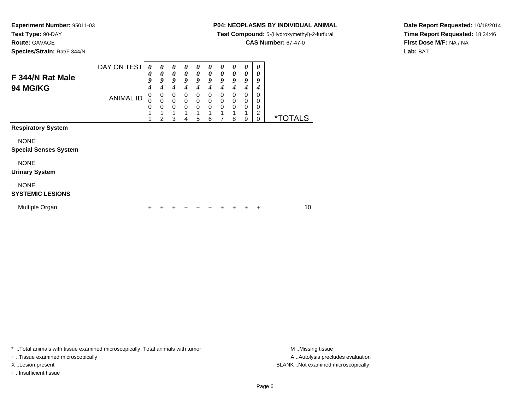**Species/Strain:** Rat/F 344/N

#### **P04: NEOPLASMS BY INDIVIDUAL ANIMAL**

**Test Compound:** 5-(Hydroxymethyl)-2-furfural

**CAS Number:** 67-47-0

**Date Report Requested:** 10/18/2014**Time Report Requested:** 18:34:46**First Dose M/F:** NA / NA**Lab:** BAT

| F 344/N Rat Male<br><b>94 MG/KG</b>         | DAY ON TEST      | $\boldsymbol{\theta}$<br>0<br>9<br>4 | 0<br>0<br>9<br>4              | 0<br>$\boldsymbol{\theta}$<br>9<br>4 | 0<br>0<br>9<br>4                         | 0<br>$\boldsymbol{\theta}$<br>9<br>4 | 0<br>0<br>9<br>4                            | 0<br>0<br>9<br>4           | $\boldsymbol{\theta}$<br>$\boldsymbol{\theta}$<br>9<br>4 | $\boldsymbol{\theta}$<br>0<br>9<br>4           | 0<br>0<br>9<br>4                                    |                       |    |
|---------------------------------------------|------------------|--------------------------------------|-------------------------------|--------------------------------------|------------------------------------------|--------------------------------------|---------------------------------------------|----------------------------|----------------------------------------------------------|------------------------------------------------|-----------------------------------------------------|-----------------------|----|
|                                             | <b>ANIMAL ID</b> | $\mathbf 0$<br>0<br>0<br>1           | 0<br>0<br>0<br>$\mathfrak{p}$ | $\Omega$<br>$\mathbf 0$<br>0<br>3    | $\Omega$<br>$\mathbf 0$<br>$\Omega$<br>4 | 0<br>$\mathbf 0$<br>$\mathbf 0$<br>5 | $\Omega$<br>$\mathbf 0$<br>$\mathbf 0$<br>6 | 0<br>0<br>$\mathbf 0$<br>7 | $\mathbf 0$<br>$\mathbf 0$<br>$\mathbf 0$<br>8           | $\mathbf 0$<br>$\mathbf 0$<br>$\mathbf 0$<br>9 | $\Omega$<br>0<br>0<br>$\overline{c}$<br>$\mathbf 0$ | <i><b>*TOTALS</b></i> |    |
| <b>Respiratory System</b>                   |                  |                                      |                               |                                      |                                          |                                      |                                             |                            |                                                          |                                                |                                                     |                       |    |
| <b>NONE</b><br><b>Special Senses System</b> |                  |                                      |                               |                                      |                                          |                                      |                                             |                            |                                                          |                                                |                                                     |                       |    |
| <b>NONE</b><br><b>Urinary System</b>        |                  |                                      |                               |                                      |                                          |                                      |                                             |                            |                                                          |                                                |                                                     |                       |    |
| <b>NONE</b><br><b>SYSTEMIC LESIONS</b>      |                  |                                      |                               |                                      |                                          |                                      |                                             |                            |                                                          |                                                |                                                     |                       |    |
| Multiple Organ                              |                  | +                                    |                               |                                      |                                          |                                      | ٠                                           | +                          | ٠                                                        | +                                              | ÷                                                   |                       | 10 |

\* ..Total animals with tissue examined microscopically; Total animals with tumor **M** . Missing tissue M ..Missing tissue

+ ..Tissue examined microscopically

I ..Insufficient tissue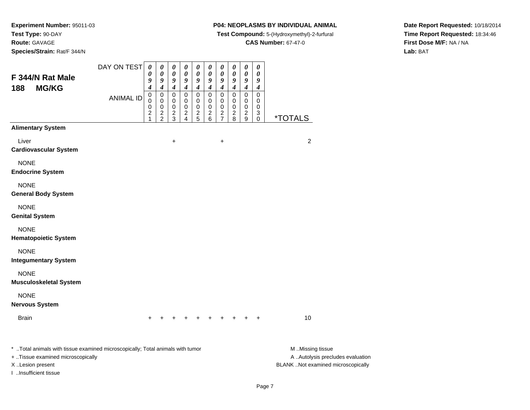**Species/Strain:** Rat/F 344/N

## **P04: NEOPLASMS BY INDIVIDUAL ANIMAL**

**Test Compound:** 5-(Hydroxymethyl)-2-furfural

**CAS Number:** 67-47-0

**Date Report Requested:** 10/18/2014**Time Report Requested:** 18:34:46**First Dose M/F:** NA / NA**Lab:** BAT

| F 344/N Rat Male<br><b>MG/KG</b><br>188                                                                                                 | DAY ON TEST      | $\boldsymbol{\theta}$<br>0<br>9<br>4        | $\pmb{\theta}$<br>0<br>9<br>$\boldsymbol{4}$   | $\boldsymbol{\theta}$<br>0<br>9<br>$\boldsymbol{4}$ | 0<br>0<br>9<br>$\boldsymbol{4}$             | 0<br>0<br>9<br>$\boldsymbol{4}$ | $\boldsymbol{\theta}$<br>0<br>9<br>4 | $\boldsymbol{\theta}$<br>0<br>9<br>$\boldsymbol{4}$ | $\boldsymbol{\theta}$<br>0<br>9<br>4        | $\boldsymbol{\theta}$<br>0<br>9<br>$\boldsymbol{4}$ | $\pmb{\theta}$<br>0<br>9<br>$\boldsymbol{4}$ |                                                                                             |
|-----------------------------------------------------------------------------------------------------------------------------------------|------------------|---------------------------------------------|------------------------------------------------|-----------------------------------------------------|---------------------------------------------|---------------------------------|--------------------------------------|-----------------------------------------------------|---------------------------------------------|-----------------------------------------------------|----------------------------------------------|---------------------------------------------------------------------------------------------|
|                                                                                                                                         | <b>ANIMAL ID</b> | 0<br>0<br>0<br>$\overline{\mathbf{c}}$<br>1 | $\pmb{0}$<br>$\mathbf 0$<br>0<br>$\frac{2}{2}$ | 0<br>0<br>0<br>$\frac{2}{3}$                        | 0<br>0<br>0<br>$\overline{\mathbf{c}}$<br>4 | 0<br>0<br>0<br>$\frac{2}{5}$    | 0<br>0<br>0<br>$\frac{2}{6}$         | 0<br>0<br>0<br>$\frac{2}{7}$                        | 0<br>0<br>0<br>$\overline{\mathbf{c}}$<br>8 | $\mathsf 0$<br>$\mathbf 0$<br>0<br>$\sqrt{2}$<br>9  | $\pmb{0}$<br>0<br>0<br>3<br>0                | <i><b>*TOTALS</b></i>                                                                       |
| <b>Alimentary System</b>                                                                                                                |                  |                                             |                                                |                                                     |                                             |                                 |                                      |                                                     |                                             |                                                     |                                              |                                                                                             |
| Liver<br><b>Cardiovascular System</b>                                                                                                   |                  |                                             |                                                | +                                                   |                                             |                                 |                                      | $\ddot{}$                                           |                                             |                                                     |                                              | $\overline{c}$                                                                              |
| <b>NONE</b><br><b>Endocrine System</b>                                                                                                  |                  |                                             |                                                |                                                     |                                             |                                 |                                      |                                                     |                                             |                                                     |                                              |                                                                                             |
| <b>NONE</b><br><b>General Body System</b>                                                                                               |                  |                                             |                                                |                                                     |                                             |                                 |                                      |                                                     |                                             |                                                     |                                              |                                                                                             |
| <b>NONE</b><br><b>Genital System</b>                                                                                                    |                  |                                             |                                                |                                                     |                                             |                                 |                                      |                                                     |                                             |                                                     |                                              |                                                                                             |
| <b>NONE</b><br><b>Hematopoietic System</b>                                                                                              |                  |                                             |                                                |                                                     |                                             |                                 |                                      |                                                     |                                             |                                                     |                                              |                                                                                             |
| <b>NONE</b><br><b>Integumentary System</b>                                                                                              |                  |                                             |                                                |                                                     |                                             |                                 |                                      |                                                     |                                             |                                                     |                                              |                                                                                             |
| <b>NONE</b><br><b>Musculoskeletal System</b>                                                                                            |                  |                                             |                                                |                                                     |                                             |                                 |                                      |                                                     |                                             |                                                     |                                              |                                                                                             |
| <b>NONE</b><br><b>Nervous System</b>                                                                                                    |                  |                                             |                                                |                                                     |                                             |                                 |                                      |                                                     |                                             |                                                     |                                              |                                                                                             |
| <b>Brain</b>                                                                                                                            |                  | $\ddot{}$                                   | $\ddot{}$                                      | +                                                   | +                                           |                                 | $+$ $+$ $+$                          |                                                     | $+$                                         | $\ddot{}$                                           | $+$                                          | 10                                                                                          |
| * Total animals with tissue examined microscopically; Total animals with tumor<br>+ Tissue examined microscopically<br>X Lesion present |                  |                                             |                                                |                                                     |                                             |                                 |                                      |                                                     |                                             |                                                     |                                              | M Missing tissue<br>A  Autolysis precludes evaluation<br>BLANK Not examined microscopically |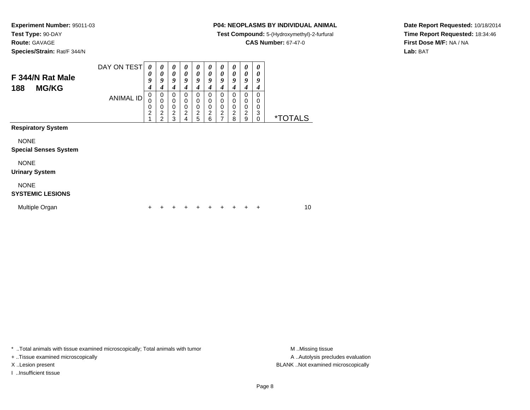**Species/Strain:** Rat/F 344/N

#### **P04: NEOPLASMS BY INDIVIDUAL ANIMAL**

**Test Compound:** 5-(Hydroxymethyl)-2-furfural

**CAS Number:** 67-47-0

**Date Report Requested:** 10/18/2014**Time Report Requested:** 18:34:46**First Dose M/F:** NA / NA**Lab:** BAT

| F 344/N Rat Male<br><b>MG/KG</b><br>188     | DAY ON TEST      | 0<br>0<br>9<br>$\boldsymbol{4}$ | 0<br>0<br>9<br>4                                                    | 0<br>0<br>9<br>4                                       | 0<br>$\boldsymbol{\theta}$<br>9<br>4         | 0<br>0<br>9<br>4                             | 0<br>$\boldsymbol{\theta}$<br>9<br>4 | $\boldsymbol{\theta}$<br>0<br>9<br>4         | 0<br>$\boldsymbol{\theta}$<br>9<br>4                           | 0<br>0<br>9<br>4                             | 0<br>0<br>9<br>4                |                       |
|---------------------------------------------|------------------|---------------------------------|---------------------------------------------------------------------|--------------------------------------------------------|----------------------------------------------|----------------------------------------------|--------------------------------------|----------------------------------------------|----------------------------------------------------------------|----------------------------------------------|---------------------------------|-----------------------|
|                                             | <b>ANIMAL ID</b> | 0<br>0<br>0<br>$\overline{2}$   | 0<br>$\mathbf 0$<br>$\mathbf 0$<br>$\overline{c}$<br>$\mathfrak{p}$ | 0<br>$\mathbf 0$<br>$\mathbf 0$<br>$\overline{c}$<br>3 | 0<br>0<br>$\mathbf 0$<br>$\overline{c}$<br>4 | 0<br>0<br>$\mathbf 0$<br>$\overline{2}$<br>5 | 0<br>0<br>0<br>$\overline{c}$<br>6   | 0<br>0<br>$\mathbf 0$<br>$\overline{c}$<br>7 | $\mathbf 0$<br>$\mathbf 0$<br>$\pmb{0}$<br>$\overline{2}$<br>8 | 0<br>0<br>$\mathbf 0$<br>$\overline{c}$<br>9 | 0<br>0<br>0<br>3<br>$\mathbf 0$ | <i><b>*TOTALS</b></i> |
| <b>Respiratory System</b>                   |                  |                                 |                                                                     |                                                        |                                              |                                              |                                      |                                              |                                                                |                                              |                                 |                       |
| <b>NONE</b><br><b>Special Senses System</b> |                  |                                 |                                                                     |                                                        |                                              |                                              |                                      |                                              |                                                                |                                              |                                 |                       |
| <b>NONE</b><br><b>Urinary System</b>        |                  |                                 |                                                                     |                                                        |                                              |                                              |                                      |                                              |                                                                |                                              |                                 |                       |
| <b>NONE</b><br><b>SYSTEMIC LESIONS</b>      |                  |                                 |                                                                     |                                                        |                                              |                                              |                                      |                                              |                                                                |                                              |                                 |                       |
| Multiple Organ                              |                  |                                 |                                                                     |                                                        |                                              |                                              | ٠                                    |                                              |                                                                |                                              | ٠                               | 10                    |

\* ..Total animals with tissue examined microscopically; Total animals with tumor **M** . Missing tissue M ..Missing tissue

+ ..Tissue examined microscopically

I ..Insufficient tissue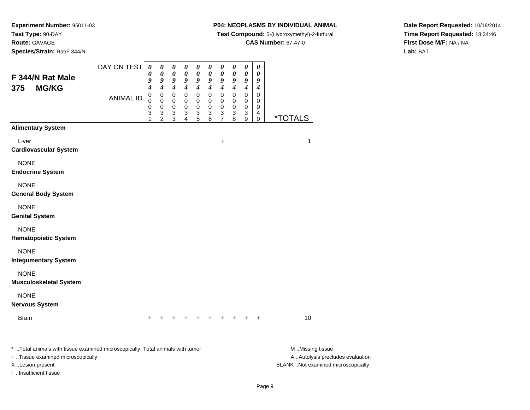**Species/Strain:** Rat/F 344/N

#### **P04: NEOPLASMS BY INDIVIDUAL ANIMAL**

**Test Compound:** 5-(Hydroxymethyl)-2-furfural

**CAS Number:** 67-47-0

**Date Report Requested:** 10/18/2014**Time Report Requested:** 18:34:46**First Dose M/F:** NA / NA**Lab:** BAT

| F 344/N Rat Male<br><b>MG/KG</b><br>375                                                                                                 | DAY ON TEST      | $\boldsymbol{\theta}$<br>$\boldsymbol{\theta}$<br>9<br>4 | $\boldsymbol{\theta}$<br>0<br>9<br>4         | $\boldsymbol{\theta}$<br>0<br>9<br>$\boldsymbol{4}$        | $\pmb{\theta}$<br>0<br>9<br>$\boldsymbol{4}$ | 0<br>0<br>9<br>$\boldsymbol{4}$ | 0<br>0<br>9<br>4      | 0<br>0<br>9<br>$\boldsymbol{4}$    | 0<br>0<br>9<br>4      | $\boldsymbol{\theta}$<br>0<br>9<br>4 | $\boldsymbol{\theta}$<br>0<br>9<br>4 |                                                                                             |
|-----------------------------------------------------------------------------------------------------------------------------------------|------------------|----------------------------------------------------------|----------------------------------------------|------------------------------------------------------------|----------------------------------------------|---------------------------------|-----------------------|------------------------------------|-----------------------|--------------------------------------|--------------------------------------|---------------------------------------------------------------------------------------------|
|                                                                                                                                         | <b>ANIMAL ID</b> | $\pmb{0}$<br>0<br>0<br>3<br>1                            | 0<br>$\mathbf 0$<br>0<br>3<br>$\overline{2}$ | 0<br>0<br>0<br>$\ensuremath{\mathsf{3}}$<br>$\overline{3}$ | 0<br>0<br>0<br>3<br>4                        | 0<br>0<br>0<br>3<br>5           | 0<br>0<br>0<br>3<br>6 | 0<br>0<br>0<br>3<br>$\overline{7}$ | 0<br>0<br>0<br>3<br>8 | 0<br>0<br>0<br>3<br>$9\,$            | 0<br>0<br>0<br>4<br>0                | <i><b>*TOTALS</b></i>                                                                       |
| <b>Alimentary System</b>                                                                                                                |                  |                                                          |                                              |                                                            |                                              |                                 |                       |                                    |                       |                                      |                                      |                                                                                             |
| Liver<br><b>Cardiovascular System</b>                                                                                                   |                  |                                                          |                                              |                                                            |                                              |                                 |                       | +                                  |                       |                                      |                                      | 1                                                                                           |
| <b>NONE</b><br><b>Endocrine System</b>                                                                                                  |                  |                                                          |                                              |                                                            |                                              |                                 |                       |                                    |                       |                                      |                                      |                                                                                             |
| <b>NONE</b><br><b>General Body System</b>                                                                                               |                  |                                                          |                                              |                                                            |                                              |                                 |                       |                                    |                       |                                      |                                      |                                                                                             |
| <b>NONE</b><br><b>Genital System</b>                                                                                                    |                  |                                                          |                                              |                                                            |                                              |                                 |                       |                                    |                       |                                      |                                      |                                                                                             |
| <b>NONE</b><br><b>Hematopoietic System</b>                                                                                              |                  |                                                          |                                              |                                                            |                                              |                                 |                       |                                    |                       |                                      |                                      |                                                                                             |
| <b>NONE</b><br><b>Integumentary System</b>                                                                                              |                  |                                                          |                                              |                                                            |                                              |                                 |                       |                                    |                       |                                      |                                      |                                                                                             |
| <b>NONE</b><br><b>Musculoskeletal System</b>                                                                                            |                  |                                                          |                                              |                                                            |                                              |                                 |                       |                                    |                       |                                      |                                      |                                                                                             |
| <b>NONE</b><br><b>Nervous System</b>                                                                                                    |                  |                                                          |                                              |                                                            |                                              |                                 |                       |                                    |                       |                                      |                                      |                                                                                             |
| <b>Brain</b>                                                                                                                            |                  | $+$                                                      |                                              |                                                            |                                              |                                 | $+$                   | $+$                                |                       |                                      | $\ddot{}$                            | 10                                                                                          |
| * Total animals with tissue examined microscopically; Total animals with tumor<br>+ Tissue examined microscopically<br>X Lesion present |                  |                                                          |                                              |                                                            |                                              |                                 |                       |                                    |                       |                                      |                                      | M Missing tissue<br>A  Autolysis precludes evaluation<br>BLANK Not examined microscopically |

I ..Insufficient tissue

Page 9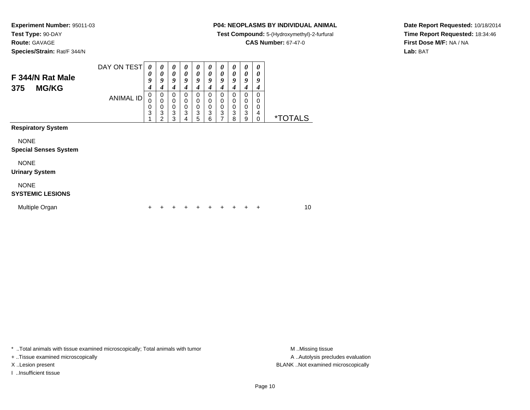# **Species/Strain:** Rat/F 344/N

#### **P04: NEOPLASMS BY INDIVIDUAL ANIMAL**

**Test Compound:** 5-(Hydroxymethyl)-2-furfural

**CAS Number:** 67-47-0

**Date Report Requested:** 10/18/2014**Time Report Requested:** 18:34:46**First Dose M/F:** NA / NA**Lab:** BAT

| F 344/N Rat Male<br><b>MG/KG</b><br>375     | DAY ON TEST      | $\boldsymbol{\theta}$<br>0<br>9<br>4 | 0<br>0<br>9<br>4                   | 0<br>0<br>9<br>4<br>$\mathbf 0$ | 0<br>$\boldsymbol{\theta}$<br>9<br>4<br>$\Omega$ | 0<br>$\boldsymbol{\theta}$<br>9<br>4<br>$\Omega$ | 0<br>0<br>9<br>4<br>$\Omega$ | 0<br>0<br>9<br>4<br>$\Omega$ | 0<br>$\boldsymbol{\theta}$<br>9<br>4<br>$\Omega$ | 0<br>0<br>9<br>4                | 0<br>0<br>9<br>4<br>0      |                       |
|---------------------------------------------|------------------|--------------------------------------|------------------------------------|---------------------------------|--------------------------------------------------|--------------------------------------------------|------------------------------|------------------------------|--------------------------------------------------|---------------------------------|----------------------------|-----------------------|
|                                             | <b>ANIMAL ID</b> | 0<br>0<br>$\frac{0}{3}$              | 0<br>0<br>0<br>3<br>$\overline{2}$ | 0<br>$\pmb{0}$<br>3<br>3        | $\Omega$<br>0<br>3<br>4                          | 0<br>$\pmb{0}$<br>$\mathbf{3}$<br>5              | 0<br>$\mathbf 0$<br>3<br>6   | 0<br>$\mathbf 0$<br>3<br>7   | 0<br>$\mathbf 0$<br>3<br>8                       | 0<br>0<br>$\mathbf 0$<br>3<br>9 | 0<br>0<br>4<br>$\mathbf 0$ | <i><b>*TOTALS</b></i> |
| <b>Respiratory System</b>                   |                  |                                      |                                    |                                 |                                                  |                                                  |                              |                              |                                                  |                                 |                            |                       |
| <b>NONE</b><br><b>Special Senses System</b> |                  |                                      |                                    |                                 |                                                  |                                                  |                              |                              |                                                  |                                 |                            |                       |
| <b>NONE</b><br><b>Urinary System</b>        |                  |                                      |                                    |                                 |                                                  |                                                  |                              |                              |                                                  |                                 |                            |                       |
| <b>NONE</b><br><b>SYSTEMIC LESIONS</b>      |                  |                                      |                                    |                                 |                                                  |                                                  |                              |                              |                                                  |                                 |                            |                       |
| Multiple Organ                              |                  |                                      |                                    |                                 |                                                  |                                                  |                              |                              |                                                  |                                 | ٠                          | 10                    |

\* ..Total animals with tissue examined microscopically; Total animals with tumor **M** . Missing tissue M ..Missing tissue

+ ..Tissue examined microscopically

I ..Insufficient tissue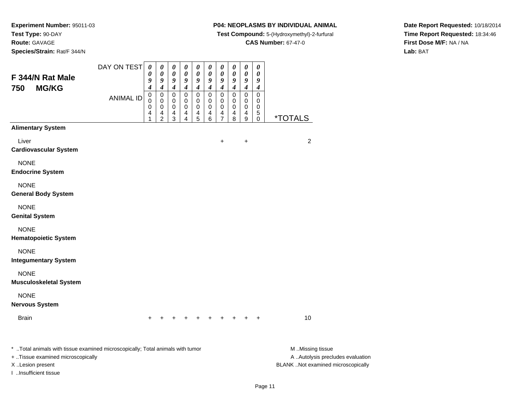**Species/Strain:** Rat/F 344/N

I ..Insufficient tissue

#### **P04: NEOPLASMS BY INDIVIDUAL ANIMAL**

**Test Compound:** 5-(Hydroxymethyl)-2-furfural

**CAS Number:** 67-47-0

**Date Report Requested:** 10/18/2014**Time Report Requested:** 18:34:46**First Dose M/F:** NA / NA**Lab:** BAT

| F 344/N Rat Male<br><b>MG/KG</b><br>750                                                                                                 | DAY ON TEST<br><b>ANIMAL ID</b> | 0<br>0<br>9<br>4<br>0<br>0 | 0<br>0<br>9<br>4<br>0<br>0 | 0<br>0<br>9<br>4<br>0<br>0 | 0<br>0<br>9<br>$\boldsymbol{4}$<br>0<br>0 | 0<br>0<br>9<br>$\boldsymbol{4}$<br>0<br>0 | 0<br>0<br>9<br>4<br>0<br>0 | 0<br>$\pmb{\theta}$<br>9<br>$\boldsymbol{4}$<br>$\mathbf 0$<br>0 | 0<br>$\boldsymbol{\theta}$<br>9<br>$\boldsymbol{4}$<br>$\mathbf 0$<br>0 | 0<br>$\boldsymbol{\theta}$<br>9<br>$\boldsymbol{4}$<br>$\mathbf 0$<br>0 | 0<br>0<br>9<br>$\boldsymbol{4}$<br>$\mathbf 0$<br>0 |                                                                                             |
|-----------------------------------------------------------------------------------------------------------------------------------------|---------------------------------|----------------------------|----------------------------|----------------------------|-------------------------------------------|-------------------------------------------|----------------------------|------------------------------------------------------------------|-------------------------------------------------------------------------|-------------------------------------------------------------------------|-----------------------------------------------------|---------------------------------------------------------------------------------------------|
|                                                                                                                                         |                                 | 0<br>4                     | 0<br>4<br>$\overline{2}$   | 0<br>4<br>3                | 0<br>4<br>4                               | 0<br>4<br>5                               | 0<br>4<br>6                | 0<br>4<br>$\overline{7}$                                         | 0<br>4<br>8                                                             | $\mathbf 0$<br>$\overline{4}$<br>9                                      | 0<br>5<br>$\pmb{0}$                                 | <i><b>*TOTALS</b></i>                                                                       |
| <b>Alimentary System</b>                                                                                                                |                                 |                            |                            |                            |                                           |                                           |                            |                                                                  |                                                                         |                                                                         |                                                     |                                                                                             |
| Liver<br><b>Cardiovascular System</b>                                                                                                   |                                 |                            |                            |                            |                                           |                                           |                            | +                                                                |                                                                         | +                                                                       |                                                     | $\overline{c}$                                                                              |
| <b>NONE</b><br><b>Endocrine System</b>                                                                                                  |                                 |                            |                            |                            |                                           |                                           |                            |                                                                  |                                                                         |                                                                         |                                                     |                                                                                             |
| <b>NONE</b><br><b>General Body System</b>                                                                                               |                                 |                            |                            |                            |                                           |                                           |                            |                                                                  |                                                                         |                                                                         |                                                     |                                                                                             |
| <b>NONE</b><br><b>Genital System</b>                                                                                                    |                                 |                            |                            |                            |                                           |                                           |                            |                                                                  |                                                                         |                                                                         |                                                     |                                                                                             |
| <b>NONE</b><br><b>Hematopoietic System</b>                                                                                              |                                 |                            |                            |                            |                                           |                                           |                            |                                                                  |                                                                         |                                                                         |                                                     |                                                                                             |
| <b>NONE</b><br><b>Integumentary System</b>                                                                                              |                                 |                            |                            |                            |                                           |                                           |                            |                                                                  |                                                                         |                                                                         |                                                     |                                                                                             |
| <b>NONE</b><br><b>Musculoskeletal System</b>                                                                                            |                                 |                            |                            |                            |                                           |                                           |                            |                                                                  |                                                                         |                                                                         |                                                     |                                                                                             |
| <b>NONE</b><br><b>Nervous System</b>                                                                                                    |                                 |                            |                            |                            |                                           |                                           |                            |                                                                  |                                                                         |                                                                         |                                                     |                                                                                             |
| <b>Brain</b>                                                                                                                            |                                 | $\ddot{}$                  | $\ddot{}$                  | +                          | $\ddot{}$                                 |                                           |                            | + + + +                                                          |                                                                         | $+$                                                                     | $+$                                                 | 10                                                                                          |
| * Total animals with tissue examined microscopically; Total animals with tumor<br>+ Tissue examined microscopically<br>X Lesion present |                                 |                            |                            |                            |                                           |                                           |                            |                                                                  |                                                                         |                                                                         |                                                     | M Missing tissue<br>A  Autolysis precludes evaluation<br>BLANK Not examined microscopically |

Page 11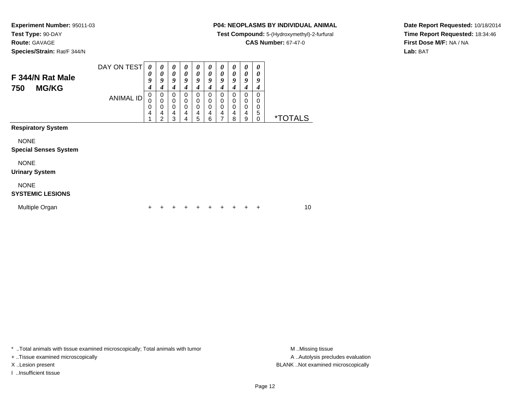**Route:** GAVAGE

**Species/Strain:** Rat/F 344/N

### **P04: NEOPLASMS BY INDIVIDUAL ANIMAL**

**Test Compound:** 5-(Hydroxymethyl)-2-furfural

**CAS Number:** 67-47-0

**Date Report Requested:** 10/18/2014**Time Report Requested:** 18:34:46**First Dose M/F:** NA / NA**Lab:** BAT

| F 344/N Rat Male<br><b>MG/KG</b><br>750     | DAY ON TEST      | $\boldsymbol{\theta}$<br>0<br>9<br>$\overline{\boldsymbol{4}}$<br>0 | 0<br>0<br>9<br>4<br>0 | 0<br>0<br>9<br>4<br>0    | 0<br>$\boldsymbol{\theta}$<br>9<br>4<br>0 | 0<br>0<br>9<br>4<br>0      | 0<br>0<br>9<br>4<br>$\Omega$ | 0<br>0<br>9<br>4<br>0                   | 0<br>0<br>9<br>4<br>0 | $\boldsymbol{\theta}$<br>0<br>9<br>4<br>0 | 0<br>0<br>9<br>4<br>0 |                       |
|---------------------------------------------|------------------|---------------------------------------------------------------------|-----------------------|--------------------------|-------------------------------------------|----------------------------|------------------------------|-----------------------------------------|-----------------------|-------------------------------------------|-----------------------|-----------------------|
|                                             | <b>ANIMAL ID</b> | 0<br>0<br>4<br>4                                                    | 0<br>0<br>4<br>2      | 0<br>$\pmb{0}$<br>4<br>3 | 0<br>$\mathbf 0$<br>4<br>4                | 0<br>$\mathbf 0$<br>4<br>5 | 0<br>$\mathbf 0$<br>4<br>6   | 0<br>$\mathbf 0$<br>$\overline{4}$<br>7 | 0<br>0<br>4<br>8      | $\mathbf 0$<br>$\mathbf 0$<br>4<br>9      | 0<br>0<br>5<br>0      | <i><b>*TOTALS</b></i> |
| <b>Respiratory System</b>                   |                  |                                                                     |                       |                          |                                           |                            |                              |                                         |                       |                                           |                       |                       |
| <b>NONE</b><br><b>Special Senses System</b> |                  |                                                                     |                       |                          |                                           |                            |                              |                                         |                       |                                           |                       |                       |
| <b>NONE</b><br><b>Urinary System</b>        |                  |                                                                     |                       |                          |                                           |                            |                              |                                         |                       |                                           |                       |                       |
| <b>NONE</b><br><b>SYSTEMIC LESIONS</b>      |                  |                                                                     |                       |                          |                                           |                            |                              |                                         |                       |                                           |                       |                       |
| Multiple Organ                              |                  | +                                                                   |                       |                          |                                           |                            |                              | +                                       | +                     |                                           | ٠                     | 10                    |

\* ..Total animals with tissue examined microscopically; Total animals with tumor **M** . Missing tissue M ..Missing tissue

+ ..Tissue examined microscopically

I ..Insufficient tissue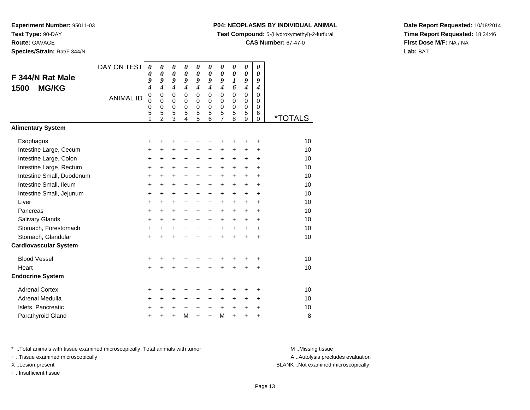**Experiment Number:** 95011-03**Test Type:** 90-DAY**Route:** GAVAGE**Species/Strain:** Rat/F 344/N

#### **P04: NEOPLASMS BY INDIVIDUAL ANIMAL**

**Test Compound:** 5-(Hydroxymethyl)-2-furfural

**CAS Number:** 67-47-0

**Date Report Requested:** 10/18/2014**Time Report Requested:** 18:34:46**First Dose M/F:** NA / NA**Lab:** BAT

DAY ON TEST**F 344/N Rat Male1500 MG/KG**ANIMAL ID*0 0 9 4* 0 0 0 5 1*0 0 9 4* 0 0 0 5 2*0 0 9 4* 0 0 0 5 3*0 0 9 4* 0 0 0 5 4*0 0 9 4* 0 0 0 5 5*0 0 9 4* 0 0 0 5 6*0 0 9 4* 0 0 0 5 7*0 0 1 6* 0 0 0 5 8*0 0 9 4* 0 0 0 5 9*0 0 9 4* 0 0 0 6 $\check{\mathrm{o}}$ 0 \*TOTALS**Alimentary SystemEsophagus**  $\mathsf{S}$  + <sup>+</sup> <sup>+</sup> <sup>+</sup> <sup>+</sup> <sup>+</sup> <sup>+</sup> <sup>+</sup> <sup>+</sup> <sup>+</sup> <sup>10</sup> Intestine Large, Cecum <sup>+</sup> <sup>+</sup> <sup>+</sup> <sup>+</sup> <sup>+</sup> <sup>+</sup> <sup>+</sup> <sup>+</sup> <sup>+</sup> <sup>+</sup> <sup>10</sup> Intestine Large, Colonn  $+$  <sup>+</sup> <sup>+</sup> <sup>+</sup> <sup>+</sup> <sup>+</sup> <sup>+</sup> <sup>+</sup> <sup>+</sup> <sup>+</sup> <sup>10</sup> Intestine Large, Rectum <sup>+</sup> <sup>+</sup> <sup>+</sup> <sup>+</sup> <sup>+</sup> <sup>+</sup> <sup>+</sup> <sup>+</sup> <sup>+</sup> <sup>+</sup> <sup>10</sup> Intestine Small, Duodenum10 **+ + + + + + + + + +** + 10<br>من Intestine Small, Ileum <sup>+</sup> <sup>+</sup> <sup>+</sup> <sup>+</sup> <sup>+</sup> <sup>+</sup> <sup>+</sup> <sup>+</sup> <sup>+</sup> <sup>+</sup> <sup>10</sup> Intestine Small, Jejunum <sup>+</sup> <sup>+</sup> <sup>+</sup> <sup>+</sup> <sup>+</sup> <sup>+</sup> <sup>+</sup> <sup>+</sup> <sup>+</sup> <sup>+</sup> <sup>10</sup> Liver $\mathsf{r}$  + <sup>+</sup> <sup>+</sup> <sup>+</sup> <sup>+</sup> <sup>+</sup> <sup>+</sup> <sup>+</sup> <sup>+</sup> <sup>+</sup> <sup>10</sup> Pancreas <sup>+</sup> <sup>+</sup> <sup>+</sup> <sup>+</sup> <sup>+</sup> <sup>+</sup> <sup>+</sup> <sup>+</sup> <sup>+</sup> <sup>+</sup> <sup>10</sup> Salivary Glands $\sim$   $\sim$   $\sim$   $\sim$   $\sim$   $\sim$   $\sim$  <sup>+</sup> <sup>+</sup> <sup>+</sup> <sup>+</sup> <sup>+</sup> <sup>+</sup> <sup>+</sup> <sup>+</sup> <sup>+</sup> <sup>10</sup> Stomach, Forestomach $\mathsf{h}$  + <sup>+</sup> <sup>+</sup> <sup>+</sup> <sup>+</sup> <sup>+</sup> <sup>+</sup> <sup>+</sup> <sup>+</sup> <sup>+</sup> <sup>10</sup> Stomach, Glandular $\mathsf{r}$  + <sup>+</sup> <sup>+</sup> <sup>+</sup> <sup>+</sup> <sup>+</sup> <sup>+</sup> <sup>+</sup> <sup>+</sup> <sup>+</sup> <sup>10</sup> **Cardiovascular System**Blood Vessel $\mathbf{+}$  <sup>+</sup> <sup>+</sup> <sup>+</sup> <sup>+</sup> <sup>+</sup> <sup>+</sup> <sup>+</sup> <sup>+</sup> <sup>+</sup> <sup>10</sup> **Heart**  <sup>+</sup> <sup>+</sup> <sup>+</sup> <sup>+</sup> <sup>+</sup> <sup>+</sup> <sup>+</sup> <sup>+</sup> <sup>+</sup> <sup>+</sup> <sup>10</sup> **Endocrine System**Adrenal Cortex $\times$  + <sup>+</sup> <sup>+</sup> <sup>+</sup> <sup>+</sup> <sup>+</sup> <sup>+</sup> <sup>+</sup> <sup>+</sup> <sup>+</sup> <sup>10</sup> Adrenal Medullaa  $+$  <sup>+</sup> <sup>+</sup> <sup>+</sup> <sup>+</sup> <sup>+</sup> <sup>+</sup> <sup>+</sup> <sup>+</sup> <sup>+</sup> <sup>10</sup> Islets, Pancreatic $\overline{c}$  + <sup>+</sup> <sup>+</sup> <sup>+</sup> <sup>+</sup> <sup>+</sup> <sup>+</sup> <sup>+</sup> <sup>+</sup> <sup>+</sup> <sup>10</sup> Parathyroid Glandd  $+$  <sup>+</sup> <sup>+</sup> <sup>M</sup><sup>+</sup> <sup>+</sup> <sup>M</sup> <sup>+</sup> <sup>+</sup> <sup>+</sup> <sup>8</sup>

\* ..Total animals with tissue examined microscopically; Total animals with tumor **M** ..Missing tissue M ..Missing tissue

+ ..Tissue examined microscopically

I ..Insufficient tissue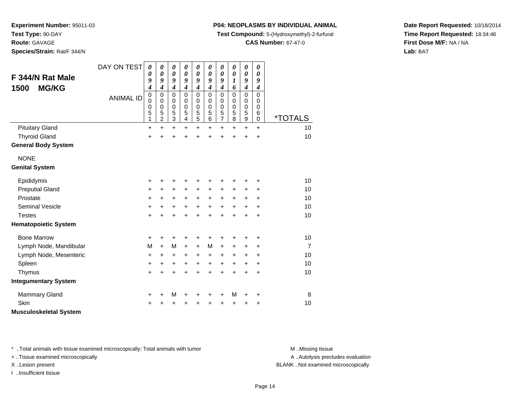**Route:** GAVAGE

**Species/Strain:** Rat/F 344/N

#### **P04: NEOPLASMS BY INDIVIDUAL ANIMAL**

**Test Compound:** 5-(Hydroxymethyl)-2-furfural

**CAS Number:** 67-47-0

**Date Report Requested:** 10/18/2014**Time Report Requested:** 18:34:46**First Dose M/F:** NA / NA**Lab:** BAT

| F 344/N Rat Male<br><b>MG/KG</b><br>1500 | DAY ON TEST      | $\boldsymbol{\theta}$<br>0<br>9<br>4 | 0<br>0<br>9<br>$\boldsymbol{4}$              | $\boldsymbol{\theta}$<br>$\boldsymbol{\theta}$<br>9<br>$\boldsymbol{4}$ | 0<br>0<br>9<br>$\boldsymbol{4}$           | 0<br>0<br>9<br>$\boldsymbol{4}$                      | 0<br>0<br>9<br>$\boldsymbol{4}$           | 0<br>$\boldsymbol{\theta}$<br>9<br>$\boldsymbol{4}$ | 0<br>0<br>1<br>6                | 0<br>$\boldsymbol{\theta}$<br>9<br>$\boldsymbol{4}$ | 0<br>0<br>9<br>$\boldsymbol{4}$                      |                |
|------------------------------------------|------------------|--------------------------------------|----------------------------------------------|-------------------------------------------------------------------------|-------------------------------------------|------------------------------------------------------|-------------------------------------------|-----------------------------------------------------|---------------------------------|-----------------------------------------------------|------------------------------------------------------|----------------|
|                                          | <b>ANIMAL ID</b> | $\pmb{0}$<br>0<br>0<br>5<br>1        | $\mathbf 0$<br>0<br>0<br>5<br>$\overline{c}$ | $\mathbf 0$<br>0<br>$\mathbf 0$<br>5<br>$\ensuremath{\mathsf{3}}$       | $\mathbf 0$<br>0<br>$\mathbf 0$<br>5<br>4 | $\pmb{0}$<br>0<br>$\mathbf 0$<br>5<br>$\overline{5}$ | $\mathbf 0$<br>0<br>$\mathbf 0$<br>5<br>6 | $\pmb{0}$<br>0<br>$\pmb{0}$<br>5<br>$\overline{7}$  | $\mathbf 0$<br>0<br>0<br>5<br>8 | $\mathbf 0$<br>0<br>0<br>5<br>9                     | $\Omega$<br>$\Omega$<br>$\Omega$<br>6<br>$\mathbf 0$ | *TOTALS        |
| <b>Pituitary Gland</b>                   |                  | $\ddot{}$                            | $\ddot{}$                                    | $\ddot{}$                                                               | $\ddot{}$                                 | $\ddot{}$                                            | $\ddot{}$                                 | $\ddot{}$                                           | $\ddot{}$                       | $\ddot{}$                                           | $\ddot{}$                                            | 10             |
| <b>Thyroid Gland</b>                     |                  | $\ddot{}$                            | Ŧ.                                           | $\ddot{}$                                                               | $\ddot{}$                                 | $\ddot{}$                                            | ÷                                         | $\ddot{}$                                           | Ŧ.                              | +                                                   | $\ddot{}$                                            | 10             |
| <b>General Body System</b>               |                  |                                      |                                              |                                                                         |                                           |                                                      |                                           |                                                     |                                 |                                                     |                                                      |                |
| <b>NONE</b>                              |                  |                                      |                                              |                                                                         |                                           |                                                      |                                           |                                                     |                                 |                                                     |                                                      |                |
| <b>Genital System</b>                    |                  |                                      |                                              |                                                                         |                                           |                                                      |                                           |                                                     |                                 |                                                     |                                                      |                |
| Epididymis                               |                  | +                                    | +                                            | +                                                                       |                                           |                                                      |                                           | +                                                   | +                               | +                                                   | +                                                    | 10             |
| <b>Preputial Gland</b>                   |                  | +                                    | +                                            | +                                                                       | +                                         | +                                                    | +                                         | +                                                   | +                               | +                                                   | +                                                    | 10             |
| Prostate                                 |                  | +                                    | $\ddot{}$                                    | +                                                                       | $\ddot{}$                                 | $\ddot{}$                                            | $\ddot{}$                                 | $\ddot{}$                                           | +                               | +                                                   | $\ddot{}$                                            | 10             |
| <b>Seminal Vesicle</b>                   |                  | $\ddot{}$                            | $\ddot{}$                                    | $\ddot{}$                                                               | $\ddot{}$                                 | $\ddot{}$                                            | $\ddot{}$                                 | $\ddot{}$                                           | $\ddot{}$                       | $\ddot{}$                                           | $\ddot{}$                                            | 10             |
| <b>Testes</b>                            |                  | +                                    | $\ddot{}$                                    | $\ddot{}$                                                               | $\ddot{}$                                 | $\ddot{}$                                            | $\ddot{}$                                 | $\ddot{}$                                           | $\ddot{}$                       | $\ddot{}$                                           | $\ddot{}$                                            | 10             |
| <b>Hematopoietic System</b>              |                  |                                      |                                              |                                                                         |                                           |                                                      |                                           |                                                     |                                 |                                                     |                                                      |                |
| <b>Bone Marrow</b>                       |                  | +                                    | +                                            | +                                                                       | +                                         | +                                                    | +                                         | +                                                   | +                               | +                                                   | +                                                    | 10             |
| Lymph Node, Mandibular                   |                  | M                                    | $+$                                          | M                                                                       | $\ddot{}$                                 | $\ddot{}$                                            | M                                         | $\ddot{}$                                           | +                               | +                                                   | +                                                    | $\overline{7}$ |
| Lymph Node, Mesenteric                   |                  | +                                    | +                                            | +                                                                       | +                                         | $\ddot{}$                                            | +                                         | +                                                   | +                               | +                                                   | +                                                    | 10             |
| Spleen                                   |                  | +                                    | +                                            | $\ddot{}$                                                               | $\ddot{}$                                 | $\ddot{}$                                            | +                                         | $\ddot{}$                                           | $\ddot{}$                       | +                                                   | $\ddot{}$                                            | 10             |
| Thymus                                   |                  | $\ddot{}$                            | $\ddot{}$                                    | $\ddot{}$                                                               | $\ddot{}$                                 | $\ddot{}$                                            | $\ddot{}$                                 | $\ddot{}$                                           | $\ddot{}$                       | $\ddot{}$                                           | $\ddot{}$                                            | 10             |
| <b>Integumentary System</b>              |                  |                                      |                                              |                                                                         |                                           |                                                      |                                           |                                                     |                                 |                                                     |                                                      |                |
| <b>Mammary Gland</b>                     |                  | +                                    | +                                            | M                                                                       | +                                         | +                                                    | +                                         | +                                                   | M                               | +                                                   | +                                                    | 8              |
| <b>Skin</b>                              |                  | +                                    |                                              | +                                                                       |                                           |                                                      |                                           | +                                                   | +                               | +                                                   | +                                                    | 10             |
| <b>Musculoskeletal System</b>            |                  |                                      |                                              |                                                                         |                                           |                                                      |                                           |                                                     |                                 |                                                     |                                                      |                |

\* ..Total animals with tissue examined microscopically; Total animals with tumor **M** . Missing tissue M ..Missing tissue

+ ..Tissue examined microscopically

I ..Insufficient tissue

A ..Autolysis precludes evaluation

X ..Lesion present BLANK ..Not examined microscopically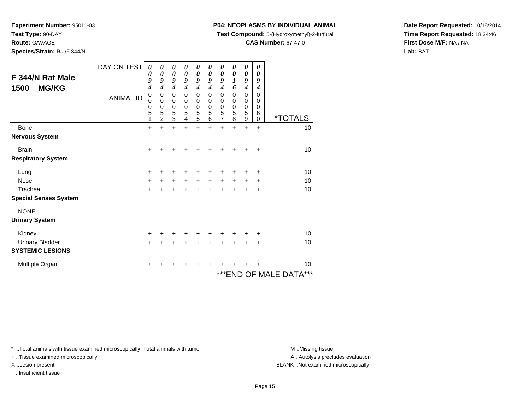**Test Type:** 90-DAY

**Route:** GAVAGE

**Species/Strain:** Rat/F 344/N

## **P04: NEOPLASMS BY INDIVIDUAL ANIMAL**

**Test Compound:** 5-(Hydroxymethyl)-2-furfural

**CAS Number:** 67-47-0

**Date Report Requested:** 10/18/2014**Time Report Requested:** 18:34:46**First Dose M/F:** NA / NA**Lab:** BAT

| F 344/N Rat Male<br><b>MG/KG</b><br>1500 | DAY ON TEST<br><b>ANIMAL ID</b> | 0<br>0<br>9<br>4<br>$\mathbf 0$<br>0<br>0<br>5<br>1 | 0<br>0<br>9<br>4<br>$\mathbf 0$<br>0<br>0<br>5<br>$\overline{2}$ | $\boldsymbol{\theta}$<br>$\boldsymbol{\theta}$<br>9<br>$\overline{4}$<br>$\mathbf 0$<br>0<br>$\mathbf 0$<br>5<br>3 | 0<br>$\boldsymbol{\theta}$<br>9<br>$\boldsymbol{4}$<br>$\mathbf 0$<br>0<br>0<br>5<br>4 | 0<br>$\boldsymbol{\theta}$<br>9<br>$\boldsymbol{4}$<br>$\mathbf 0$<br>0<br>$\pmb{0}$<br>5<br>$\overline{5}$ | 0<br>$\boldsymbol{\theta}$<br>9<br>4<br>$\mathbf 0$<br>0<br>$\mathbf 0$<br>5<br>6 | 0<br>$\boldsymbol{\theta}$<br>9<br>$\boldsymbol{4}$<br>$\mathbf 0$<br>0<br>$\pmb{0}$<br>$\mathbf 5$<br>$\overline{7}$ | 0<br>0<br>1<br>6<br>$\mathbf 0$<br>0<br>$\mathbf 0$<br>5<br>8 | 0<br>0<br>9<br>$\boldsymbol{4}$<br>$\mathbf 0$<br>$\,0\,$<br>$\,0\,$<br>$\mathbf 5$<br>$\boldsymbol{9}$ | 0<br>0<br>9<br>4<br>$\mathbf{0}$<br>0<br>$\mathbf 0$<br>6<br>$\mathbf 0$ | <i><b>*TOTALS</b></i>  |
|------------------------------------------|---------------------------------|-----------------------------------------------------|------------------------------------------------------------------|--------------------------------------------------------------------------------------------------------------------|----------------------------------------------------------------------------------------|-------------------------------------------------------------------------------------------------------------|-----------------------------------------------------------------------------------|-----------------------------------------------------------------------------------------------------------------------|---------------------------------------------------------------|---------------------------------------------------------------------------------------------------------|--------------------------------------------------------------------------|------------------------|
| <b>Bone</b>                              |                                 | $\ddot{}$                                           | ÷                                                                | $\ddot{}$                                                                                                          | ÷                                                                                      | $\ddot{}$                                                                                                   | $\ddot{}$                                                                         | $\ddot{}$                                                                                                             | $\ddot{}$                                                     | $\ddot{}$                                                                                               | $\ddot{}$                                                                | 10                     |
| <b>Nervous System</b>                    |                                 |                                                     |                                                                  |                                                                                                                    |                                                                                        |                                                                                                             |                                                                                   |                                                                                                                       |                                                               |                                                                                                         |                                                                          |                        |
| <b>Brain</b>                             |                                 | $\ddot{}$                                           |                                                                  |                                                                                                                    |                                                                                        |                                                                                                             |                                                                                   |                                                                                                                       |                                                               |                                                                                                         | +                                                                        | 10                     |
| <b>Respiratory System</b>                |                                 |                                                     |                                                                  |                                                                                                                    |                                                                                        |                                                                                                             |                                                                                   |                                                                                                                       |                                                               |                                                                                                         |                                                                          |                        |
| Lung                                     |                                 | $\ddot{}$                                           | ٠                                                                | +                                                                                                                  | +                                                                                      | +                                                                                                           |                                                                                   | ٠                                                                                                                     |                                                               | ÷                                                                                                       | ÷                                                                        | 10                     |
| <b>Nose</b>                              |                                 | $\ddot{}$                                           | $\ddot{}$                                                        | $\ddot{}$                                                                                                          | $\ddot{}$                                                                              | $\ddot{}$                                                                                                   | $\ddot{}$                                                                         | $\ddot{}$                                                                                                             | $\ddot{}$                                                     | $\ddot{}$                                                                                               | $\ddot{}$                                                                | 10                     |
| Trachea                                  |                                 | $\ddot{}$                                           | +                                                                | $\ddot{}$                                                                                                          | +                                                                                      | $\ddot{}$                                                                                                   |                                                                                   | $\ddot{}$                                                                                                             | $\ddot{}$                                                     | $\ddot{}$                                                                                               | $\ddot{}$                                                                | 10                     |
| <b>Special Senses System</b>             |                                 |                                                     |                                                                  |                                                                                                                    |                                                                                        |                                                                                                             |                                                                                   |                                                                                                                       |                                                               |                                                                                                         |                                                                          |                        |
| <b>NONE</b>                              |                                 |                                                     |                                                                  |                                                                                                                    |                                                                                        |                                                                                                             |                                                                                   |                                                                                                                       |                                                               |                                                                                                         |                                                                          |                        |
| <b>Urinary System</b>                    |                                 |                                                     |                                                                  |                                                                                                                    |                                                                                        |                                                                                                             |                                                                                   |                                                                                                                       |                                                               |                                                                                                         |                                                                          |                        |
| Kidney                                   |                                 | +                                                   | +                                                                | +                                                                                                                  | +                                                                                      | +                                                                                                           |                                                                                   | +                                                                                                                     |                                                               |                                                                                                         | +                                                                        | 10                     |
| <b>Urinary Bladder</b>                   |                                 | $\ddot{}$                                           | +                                                                | $\ddot{}$                                                                                                          | +                                                                                      | $\ddot{}$                                                                                                   | $\div$                                                                            | $+$                                                                                                                   | $+$                                                           | $+$                                                                                                     | +                                                                        | 10                     |
| <b>SYSTEMIC LESIONS</b>                  |                                 |                                                     |                                                                  |                                                                                                                    |                                                                                        |                                                                                                             |                                                                                   |                                                                                                                       |                                                               |                                                                                                         |                                                                          |                        |
| Multiple Organ                           |                                 | +                                                   |                                                                  |                                                                                                                    |                                                                                        |                                                                                                             |                                                                                   |                                                                                                                       |                                                               |                                                                                                         |                                                                          | 10                     |
|                                          |                                 |                                                     |                                                                  |                                                                                                                    |                                                                                        |                                                                                                             |                                                                                   |                                                                                                                       |                                                               |                                                                                                         |                                                                          | ***END OF MALE DATA*** |

\* ..Total animals with tissue examined microscopically; Total animals with tumor **M** . Missing tissue M ..Missing tissue

+ ..Tissue examined microscopically

I ..Insufficient tissue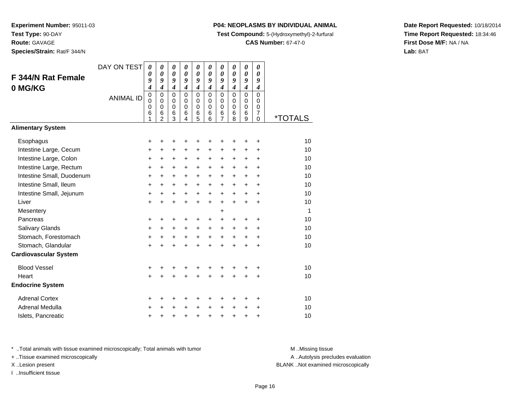**Route:** GAVAGE

**Species/Strain:** Rat/F 344/N

#### **P04: NEOPLASMS BY INDIVIDUAL ANIMAL**

**Test Compound:** 5-(Hydroxymethyl)-2-furfural

**CAS Number:** 67-47-0

**Date Report Requested:** 10/18/2014**Time Report Requested:** 18:34:46**First Dose M/F:** NA / NA**Lab:** BAT

| <b>F 344/N Rat Female</b><br>0 MG/KG | DAY ON TEST<br><b>ANIMAL ID</b> | $\boldsymbol{\theta}$<br>0<br>9<br>4<br>$\mathbf 0$<br>0<br>0<br>6<br>1 | $\boldsymbol{\theta}$<br>$\boldsymbol{\theta}$<br>9<br>$\boldsymbol{4}$<br>$\mathbf 0$<br>$\Omega$<br>$\mathbf 0$<br>6<br>$\overline{2}$ | 0<br>$\boldsymbol{\theta}$<br>9<br>$\boldsymbol{4}$<br>$\mathbf 0$<br>$\mathbf 0$<br>$\pmb{0}$<br>6<br>3 | 0<br>0<br>9<br>$\boldsymbol{4}$<br>$\mathbf 0$<br>$\Omega$<br>$\mathbf 0$<br>$\,6$<br>4 | 0<br>0<br>9<br>$\boldsymbol{4}$<br>$\mathbf 0$<br>$\mathbf 0$<br>0<br>6<br>5 | 0<br>0<br>9<br>$\boldsymbol{4}$<br>$\mathbf 0$<br>$\Omega$<br>0<br>6<br>6 | 0<br>$\boldsymbol{\theta}$<br>9<br>$\boldsymbol{4}$<br>$\mathbf 0$<br>$\mathbf 0$<br>0<br>6<br>7 | 0<br>0<br>9<br>$\boldsymbol{4}$<br>$\mathbf 0$<br>$\Omega$<br>0<br>6<br>8 | 0<br>0<br>9<br>$\boldsymbol{4}$<br>0<br>$\mathbf 0$<br>$\mathbf 0$<br>6<br>9 | 0<br>0<br>9<br>$\boldsymbol{4}$<br>$\mathbf 0$<br>$\Omega$<br>0<br>$\overline{7}$<br>$\Omega$ | <i><b>*TOTALS</b></i> |
|--------------------------------------|---------------------------------|-------------------------------------------------------------------------|------------------------------------------------------------------------------------------------------------------------------------------|----------------------------------------------------------------------------------------------------------|-----------------------------------------------------------------------------------------|------------------------------------------------------------------------------|---------------------------------------------------------------------------|--------------------------------------------------------------------------------------------------|---------------------------------------------------------------------------|------------------------------------------------------------------------------|-----------------------------------------------------------------------------------------------|-----------------------|
| <b>Alimentary System</b>             |                                 |                                                                         |                                                                                                                                          |                                                                                                          |                                                                                         |                                                                              |                                                                           |                                                                                                  |                                                                           |                                                                              |                                                                                               |                       |
| Esophagus<br>Intestine Large, Cecum  |                                 | +<br>$\ddot{}$                                                          | +<br>$\ddot{}$                                                                                                                           | +<br>$\ddot{}$                                                                                           | +<br>$\pm$                                                                              | +<br>$\ddot{}$                                                               | +<br>$\ddot{}$                                                            | +<br>$\ddot{}$                                                                                   | ٠<br>$\ddot{}$                                                            | ٠<br>$\ddot{}$                                                               | $\ddot{}$<br>$\ddot{}$                                                                        | 10<br>10              |
| Intestine Large, Colon               |                                 | +                                                                       | $\ddot{}$                                                                                                                                | +                                                                                                        | $\ddot{}$                                                                               | $\ddot{}$                                                                    | $\ddot{}$                                                                 | $\ddot{}$                                                                                        | +                                                                         | +                                                                            | +                                                                                             | 10                    |
| Intestine Large, Rectum              |                                 | $\ddot{}$                                                               | $\ddot{}$                                                                                                                                | $\ddot{}$                                                                                                | $\ddot{}$                                                                               | $\ddot{}$                                                                    | $\ddot{}$                                                                 | $\ddot{}$                                                                                        | $\ddot{}$                                                                 | $\ddot{}$                                                                    | $\ddot{}$                                                                                     | 10                    |
| Intestine Small, Duodenum            |                                 | $\ddot{}$                                                               | $\ddot{}$                                                                                                                                | $\ddot{}$                                                                                                | $\ddot{}$                                                                               | $\ddot{}$                                                                    | $\ddot{}$                                                                 | $\ddot{}$                                                                                        | $\ddot{}$                                                                 | $\ddot{}$                                                                    | +                                                                                             | 10                    |
| Intestine Small, Ileum               |                                 | $\ddot{}$                                                               | $\ddot{}$                                                                                                                                | $\ddot{}$                                                                                                | $\ddot{}$                                                                               | $\ddot{}$                                                                    | $\ddot{}$                                                                 | $\ddot{}$                                                                                        | $\ddot{}$                                                                 | $\ddot{}$                                                                    | ÷                                                                                             | 10                    |
| Intestine Small, Jejunum             |                                 | +                                                                       | $\ddot{}$                                                                                                                                | $\ddot{}$                                                                                                | $\ddot{}$                                                                               | $\ddot{}$                                                                    | $\ddot{}$                                                                 | $\ddot{}$                                                                                        | $\ddot{}$                                                                 | $\ddot{}$                                                                    | $\ddot{}$                                                                                     | 10                    |
| Liver                                |                                 | $\ddot{}$                                                               | $\ddot{}$                                                                                                                                | $\ddot{}$                                                                                                | $+$                                                                                     | $\ddot{}$                                                                    | $\ddot{}$                                                                 | $\ddot{}$                                                                                        | $+$                                                                       | $\ddot{}$                                                                    | $\ddot{}$                                                                                     | 10                    |
| Mesentery                            |                                 |                                                                         |                                                                                                                                          |                                                                                                          |                                                                                         |                                                                              |                                                                           | +                                                                                                |                                                                           |                                                                              |                                                                                               | 1                     |
| Pancreas                             |                                 | +                                                                       | +                                                                                                                                        | $\ddot{}$                                                                                                |                                                                                         | +                                                                            | +                                                                         | +                                                                                                | +                                                                         | +                                                                            | +                                                                                             | 10                    |
| <b>Salivary Glands</b>               |                                 | $\ddot{}$                                                               | +                                                                                                                                        | $\ddot{}$                                                                                                | $\ddot{}$                                                                               | $\ddot{}$                                                                    | $\ddot{}$                                                                 | $\ddot{}$                                                                                        | $\ddot{}$                                                                 | $\ddot{}$                                                                    | $\ddot{}$                                                                                     | 10                    |
| Stomach, Forestomach                 |                                 | $\ddot{}$                                                               | +                                                                                                                                        | $\ddot{}$                                                                                                | $\ddot{}$                                                                               | $+$                                                                          | $\ddot{}$                                                                 | $\ddot{}$                                                                                        | $+$                                                                       | +                                                                            | $\ddot{}$                                                                                     | 10                    |
| Stomach, Glandular                   |                                 | $\ddot{}$                                                               |                                                                                                                                          |                                                                                                          |                                                                                         | $\ddot{}$                                                                    | $\ddot{}$                                                                 | $\ddot{}$                                                                                        | $\ddot{}$                                                                 | $\ddot{}$                                                                    | +                                                                                             | 10                    |
| <b>Cardiovascular System</b>         |                                 |                                                                         |                                                                                                                                          |                                                                                                          |                                                                                         |                                                                              |                                                                           |                                                                                                  |                                                                           |                                                                              |                                                                                               |                       |
| <b>Blood Vessel</b>                  |                                 | +                                                                       | +                                                                                                                                        | +                                                                                                        | +                                                                                       | +                                                                            | +                                                                         | +                                                                                                | +                                                                         | +                                                                            | +                                                                                             | 10                    |
| Heart                                |                                 | $\ddot{}$                                                               |                                                                                                                                          |                                                                                                          |                                                                                         | Ŧ.                                                                           | Ŧ.                                                                        | $\ddot{}$                                                                                        |                                                                           | $\ddot{}$                                                                    | $\ddot{}$                                                                                     | 10                    |
| <b>Endocrine System</b>              |                                 |                                                                         |                                                                                                                                          |                                                                                                          |                                                                                         |                                                                              |                                                                           |                                                                                                  |                                                                           |                                                                              |                                                                                               |                       |
| <b>Adrenal Cortex</b>                |                                 | +                                                                       | +                                                                                                                                        | +                                                                                                        | +                                                                                       | +                                                                            | +                                                                         | +                                                                                                | ٠                                                                         | ٠                                                                            | +                                                                                             | 10                    |
| Adrenal Medulla                      |                                 | +                                                                       |                                                                                                                                          |                                                                                                          |                                                                                         | $\ddot{}$                                                                    | $\ddot{}$                                                                 | $\ddot{}$                                                                                        | $\ddot{}$                                                                 | +                                                                            | +                                                                                             | 10                    |
| Islets, Pancreatic                   |                                 | +                                                                       | +                                                                                                                                        | +                                                                                                        | +                                                                                       | +                                                                            | $\ddot{}$                                                                 | $\ddot{}$                                                                                        | +                                                                         | +                                                                            | +                                                                                             | 10                    |

\* ..Total animals with tissue examined microscopically; Total animals with tumor **M** . Missing tissue M ..Missing tissue

+ ..Tissue examined microscopically

I ..Insufficient tissue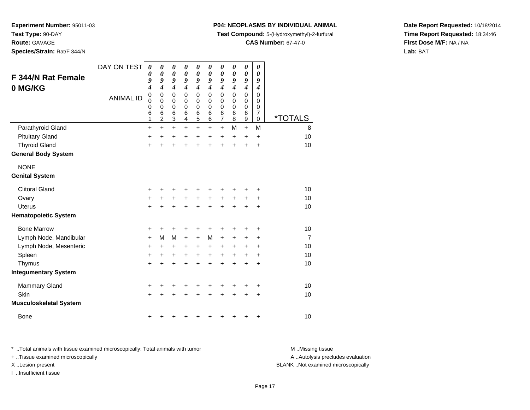**Test Type:** 90-DAY

**Route:** GAVAGE

**Species/Strain:** Rat/F 344/N

## **P04: NEOPLASMS BY INDIVIDUAL ANIMAL**

**Test Compound:** 5-(Hydroxymethyl)-2-furfural

**CAS Number:** 67-47-0

**Date Report Requested:** 10/18/2014**Time Report Requested:** 18:34:46**First Dose M/F:** NA / NA**Lab:** BAT

| <b>F 344/N Rat Female</b><br>0 MG/KG | DAY ON TEST<br><b>ANIMAL ID</b> | $\boldsymbol{\theta}$<br>$\boldsymbol{\theta}$<br>9<br>4<br>$\mathbf 0$<br>0<br>0<br>6<br>1 | $\boldsymbol{\theta}$<br>$\boldsymbol{\theta}$<br>9<br>$\overline{4}$<br>$\mathbf 0$<br>0<br>$\mathbf 0$<br>$\,6$<br>$\overline{2}$ | 0<br>$\boldsymbol{\theta}$<br>9<br>$\boldsymbol{4}$<br>$\mathbf 0$<br>0<br>$\mathbf 0$<br>$\,6$<br>$\overline{3}$ | 0<br>$\boldsymbol{\theta}$<br>9<br>$\boldsymbol{4}$<br>$\mathbf 0$<br>0<br>$\mathbf 0$<br>6<br>4 | 0<br>$\boldsymbol{\theta}$<br>9<br>$\boldsymbol{4}$<br>$\mathbf 0$<br>0<br>0<br>6<br>$\overline{5}$ | 0<br>0<br>9<br>$\boldsymbol{4}$<br>$\Omega$<br>0<br>0<br>6<br>6 | 0<br>$\boldsymbol{\theta}$<br>9<br>$\boldsymbol{4}$<br>$\mathbf 0$<br>0<br>$\mathbf 0$<br>6<br>$\overline{7}$ | 0<br>0<br>9<br>$\boldsymbol{4}$<br>$\mathbf 0$<br>0<br>0<br>6<br>8 | 0<br>$\boldsymbol{\theta}$<br>9<br>$\boldsymbol{4}$<br>$\mathbf 0$<br>$\mathbf 0$<br>$\mathbf 0$<br>$6\phantom{1}6$<br>$\overline{9}$ | 0<br>0<br>9<br>$\boldsymbol{4}$<br>0<br>0<br>0<br>7<br>$\mathbf 0$ | <i><b>*TOTALS</b></i> |
|--------------------------------------|---------------------------------|---------------------------------------------------------------------------------------------|-------------------------------------------------------------------------------------------------------------------------------------|-------------------------------------------------------------------------------------------------------------------|--------------------------------------------------------------------------------------------------|-----------------------------------------------------------------------------------------------------|-----------------------------------------------------------------|---------------------------------------------------------------------------------------------------------------|--------------------------------------------------------------------|---------------------------------------------------------------------------------------------------------------------------------------|--------------------------------------------------------------------|-----------------------|
| Parathyroid Gland                    |                                 | $\ddot{}$                                                                                   | $\ddot{}$                                                                                                                           | $\ddot{}$                                                                                                         | $\ddot{}$                                                                                        | $\ddot{}$                                                                                           | $\ddot{}$                                                       | $\ddot{}$                                                                                                     | м                                                                  | $\ddot{}$                                                                                                                             | M                                                                  | 8                     |
| <b>Pituitary Gland</b>               |                                 | $\ddot{}$                                                                                   | $\ddot{}$                                                                                                                           | +                                                                                                                 | +                                                                                                | $\ddot{}$                                                                                           | +                                                               | +                                                                                                             | +                                                                  | $\ddot{}$                                                                                                                             | $\ddot{}$                                                          | 10                    |
| <b>Thyroid Gland</b>                 |                                 | $\ddot{}$                                                                                   | $\ddot{}$                                                                                                                           | $\ddot{}$                                                                                                         | $\ddot{}$                                                                                        | $\ddot{}$                                                                                           | $\ddot{}$                                                       | $\ddot{}$                                                                                                     | $\ddot{}$                                                          | $\ddot{}$                                                                                                                             | $\ddot{}$                                                          | 10                    |
| <b>General Body System</b>           |                                 |                                                                                             |                                                                                                                                     |                                                                                                                   |                                                                                                  |                                                                                                     |                                                                 |                                                                                                               |                                                                    |                                                                                                                                       |                                                                    |                       |
| <b>NONE</b>                          |                                 |                                                                                             |                                                                                                                                     |                                                                                                                   |                                                                                                  |                                                                                                     |                                                                 |                                                                                                               |                                                                    |                                                                                                                                       |                                                                    |                       |
| <b>Genital System</b>                |                                 |                                                                                             |                                                                                                                                     |                                                                                                                   |                                                                                                  |                                                                                                     |                                                                 |                                                                                                               |                                                                    |                                                                                                                                       |                                                                    |                       |
| <b>Clitoral Gland</b>                |                                 | +                                                                                           |                                                                                                                                     |                                                                                                                   |                                                                                                  | +                                                                                                   |                                                                 | +                                                                                                             |                                                                    |                                                                                                                                       | +                                                                  | 10                    |
| Ovary                                |                                 | $\ddot{}$                                                                                   | +                                                                                                                                   | +                                                                                                                 | +                                                                                                | $\ddot{}$                                                                                           | +                                                               | +                                                                                                             | +                                                                  | +                                                                                                                                     | +                                                                  | 10                    |
| <b>Uterus</b>                        |                                 | $\ddot{}$                                                                                   |                                                                                                                                     |                                                                                                                   |                                                                                                  | $\ddot{}$                                                                                           | $\ddot{}$                                                       | $\ddot{}$                                                                                                     |                                                                    | $\ddot{}$                                                                                                                             | $\ddot{}$                                                          | 10                    |
| <b>Hematopoietic System</b>          |                                 |                                                                                             |                                                                                                                                     |                                                                                                                   |                                                                                                  |                                                                                                     |                                                                 |                                                                                                               |                                                                    |                                                                                                                                       |                                                                    |                       |
| <b>Bone Marrow</b>                   |                                 | +                                                                                           | +                                                                                                                                   | +                                                                                                                 | +                                                                                                | +                                                                                                   | +                                                               | +                                                                                                             | +                                                                  | +                                                                                                                                     | +                                                                  | 10                    |
| Lymph Node, Mandibular               |                                 | $\ddot{}$                                                                                   | M                                                                                                                                   | M                                                                                                                 | +                                                                                                | $\ddot{}$                                                                                           | M                                                               | $\ddot{}$                                                                                                     | +                                                                  | +                                                                                                                                     | +                                                                  | $\overline{7}$        |
| Lymph Node, Mesenteric               |                                 | +                                                                                           | +                                                                                                                                   | +                                                                                                                 | +                                                                                                | +                                                                                                   | +                                                               | +                                                                                                             | +                                                                  | +                                                                                                                                     | +                                                                  | 10                    |
| Spleen                               |                                 | $\ddot{}$                                                                                   | +                                                                                                                                   | +                                                                                                                 | +                                                                                                | +                                                                                                   | +                                                               | $\ddot{}$                                                                                                     | $\ddot{}$                                                          | $\ddot{}$                                                                                                                             | $\ddot{}$                                                          | 10                    |
| Thymus                               |                                 | $\ddot{}$                                                                                   | +                                                                                                                                   | $\ddot{}$                                                                                                         | +                                                                                                | $\ddot{}$                                                                                           | $\ddot{}$                                                       | $\ddot{}$                                                                                                     | $\ddot{}$                                                          | $\ddot{}$                                                                                                                             | $\ddot{}$                                                          | 10                    |
| <b>Integumentary System</b>          |                                 |                                                                                             |                                                                                                                                     |                                                                                                                   |                                                                                                  |                                                                                                     |                                                                 |                                                                                                               |                                                                    |                                                                                                                                       |                                                                    |                       |
| <b>Mammary Gland</b>                 |                                 | +                                                                                           |                                                                                                                                     | +                                                                                                                 | +                                                                                                | +                                                                                                   | +                                                               | +                                                                                                             | +                                                                  | +                                                                                                                                     | +                                                                  | 10                    |
| Skin                                 |                                 | +                                                                                           |                                                                                                                                     |                                                                                                                   |                                                                                                  |                                                                                                     |                                                                 | +                                                                                                             |                                                                    | +                                                                                                                                     | +                                                                  | 10                    |
| <b>Musculoskeletal System</b>        |                                 |                                                                                             |                                                                                                                                     |                                                                                                                   |                                                                                                  |                                                                                                     |                                                                 |                                                                                                               |                                                                    |                                                                                                                                       |                                                                    |                       |
| <b>Bone</b>                          |                                 | +                                                                                           |                                                                                                                                     |                                                                                                                   |                                                                                                  |                                                                                                     | ٠                                                               | +                                                                                                             | +                                                                  | +                                                                                                                                     | +                                                                  | 10                    |

\* ..Total animals with tissue examined microscopically; Total animals with tumor **M** . Missing tissue M ..Missing tissue A ..Autolysis precludes evaluation + ..Tissue examined microscopically X ..Lesion present BLANK ..Not examined microscopicallyI ..Insufficient tissue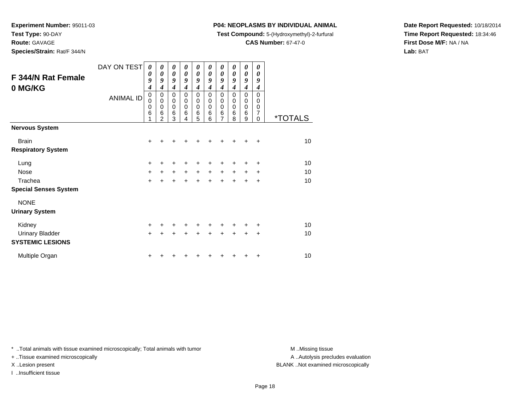**Test Type:** 90-DAY

**Route:** GAVAGE

**Species/Strain:** Rat/F 344/N

## **P04: NEOPLASMS BY INDIVIDUAL ANIMAL**

**Test Compound:** 5-(Hydroxymethyl)-2-furfural

**CAS Number:** 67-47-0

**Date Report Requested:** 10/18/2014**Time Report Requested:** 18:34:46**First Dose M/F:** NA / NA**Lab:** BAT

| F 344/N Rat Female<br>0 MG/KG | DAY ON TEST<br><b>ANIMAL ID</b> | $\boldsymbol{\theta}$<br>0<br>9<br>4<br>0<br>0<br>0<br>6 | 0<br>$\boldsymbol{\theta}$<br>9<br>$\boldsymbol{4}$<br>0<br>$\mathbf 0$<br>$\mathbf 0$<br>6<br>$\overline{2}$ | $\boldsymbol{\theta}$<br>$\boldsymbol{\theta}$<br>9<br>$\boldsymbol{4}$<br>0<br>0<br>$\pmb{0}$<br>6<br>3 | 0<br>$\boldsymbol{\theta}$<br>9<br>$\overline{\boldsymbol{4}}$<br>$\mathbf 0$<br>$\mathbf 0$<br>$\mathbf 0$<br>$6\phantom{1}6$<br>4 | $\boldsymbol{\theta}$<br>$\boldsymbol{\theta}$<br>9<br>$\boldsymbol{4}$<br>$\mathbf 0$<br>0<br>$\pmb{0}$<br>6<br>5 | 0<br>0<br>9<br>4<br>0<br>0<br>$\mathbf 0$<br>$6\phantom{1}6$<br>6 | 0<br>$\boldsymbol{\theta}$<br>9<br>$\boldsymbol{4}$<br>0<br>0<br>$\pmb{0}$<br>$\,6$<br>$\overline{7}$ | 0<br>0<br>9<br>$\overline{\boldsymbol{4}}$<br>0<br>0<br>0<br>$\,6$<br>8 | 0<br>0<br>9<br>$\boldsymbol{4}$<br>$\mathbf 0$<br>0<br>$\pmb{0}$<br>$\,6$<br>9 | 0<br>0<br>$\boldsymbol{g}$<br>$\boldsymbol{4}$<br>$\mathbf 0$<br>0<br>0<br>$\overline{7}$<br>0 | <i><b>*TOTALS</b></i> |
|-------------------------------|---------------------------------|----------------------------------------------------------|---------------------------------------------------------------------------------------------------------------|----------------------------------------------------------------------------------------------------------|-------------------------------------------------------------------------------------------------------------------------------------|--------------------------------------------------------------------------------------------------------------------|-------------------------------------------------------------------|-------------------------------------------------------------------------------------------------------|-------------------------------------------------------------------------|--------------------------------------------------------------------------------|------------------------------------------------------------------------------------------------|-----------------------|
| <b>Nervous System</b>         |                                 |                                                          |                                                                                                               |                                                                                                          |                                                                                                                                     |                                                                                                                    |                                                                   |                                                                                                       |                                                                         |                                                                                |                                                                                                |                       |
| <b>Brain</b>                  |                                 | $\ddot{}$                                                |                                                                                                               |                                                                                                          |                                                                                                                                     |                                                                                                                    |                                                                   |                                                                                                       |                                                                         |                                                                                |                                                                                                | 10                    |
| <b>Respiratory System</b>     |                                 |                                                          |                                                                                                               |                                                                                                          |                                                                                                                                     |                                                                                                                    |                                                                   |                                                                                                       |                                                                         |                                                                                |                                                                                                |                       |
| Lung                          |                                 | +                                                        | +                                                                                                             | +                                                                                                        | +                                                                                                                                   | +                                                                                                                  | +                                                                 | ٠                                                                                                     |                                                                         | ٠                                                                              | +                                                                                              | 10                    |
| Nose                          |                                 | $\ddot{}$                                                | $\ddot{}$                                                                                                     | $\ddot{}$                                                                                                | $\ddot{}$                                                                                                                           | $\ddot{}$                                                                                                          | $\ddot{}$                                                         | $\ddot{}$                                                                                             | $\ddot{}$                                                               | $\ddot{}$                                                                      | $\ddot{}$                                                                                      | 10                    |
| Trachea                       |                                 | $\ddot{}$                                                | $\ddot{}$                                                                                                     | $\ddot{}$                                                                                                | $\ddot{}$                                                                                                                           | $\ddot{}$                                                                                                          | $\ddot{}$                                                         | $+$                                                                                                   | $\ddot{}$                                                               | $\ddot{}$                                                                      | +                                                                                              | 10                    |
| <b>Special Senses System</b>  |                                 |                                                          |                                                                                                               |                                                                                                          |                                                                                                                                     |                                                                                                                    |                                                                   |                                                                                                       |                                                                         |                                                                                |                                                                                                |                       |
| <b>NONE</b>                   |                                 |                                                          |                                                                                                               |                                                                                                          |                                                                                                                                     |                                                                                                                    |                                                                   |                                                                                                       |                                                                         |                                                                                |                                                                                                |                       |
| <b>Urinary System</b>         |                                 |                                                          |                                                                                                               |                                                                                                          |                                                                                                                                     |                                                                                                                    |                                                                   |                                                                                                       |                                                                         |                                                                                |                                                                                                |                       |
| Kidney                        |                                 | $\ddot{}$                                                | +                                                                                                             | +                                                                                                        | +                                                                                                                                   | $\ddot{}$                                                                                                          | +                                                                 | +                                                                                                     | ٠                                                                       | ٠                                                                              | +                                                                                              | 10                    |
| <b>Urinary Bladder</b>        |                                 | $\ddot{}$                                                | +                                                                                                             | +                                                                                                        | +                                                                                                                                   | $\ddot{}$                                                                                                          | $\ddot{}$                                                         | $\ddot{}$                                                                                             | $\ddot{}$                                                               | $\ddot{}$                                                                      | +                                                                                              | 10                    |
| <b>SYSTEMIC LESIONS</b>       |                                 |                                                          |                                                                                                               |                                                                                                          |                                                                                                                                     |                                                                                                                    |                                                                   |                                                                                                       |                                                                         |                                                                                |                                                                                                |                       |
| Multiple Organ                |                                 | +                                                        |                                                                                                               |                                                                                                          |                                                                                                                                     |                                                                                                                    |                                                                   |                                                                                                       |                                                                         |                                                                                | +                                                                                              | 10                    |

\* ..Total animals with tissue examined microscopically; Total animals with tumor **M** . Missing tissue M ..Missing tissue

+ ..Tissue examined microscopically

I ..Insufficient tissue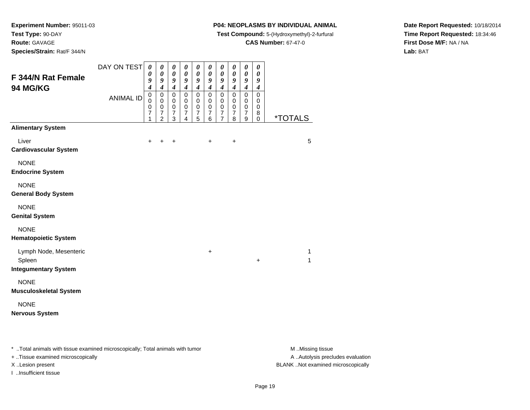**Route:** GAVAGE

**Species/Strain:** Rat/F 344/N

#### **P04: NEOPLASMS BY INDIVIDUAL ANIMAL**

**Test Compound:** 5-(Hydroxymethyl)-2-furfural

**CAS Number:** 67-47-0

**Date Report Requested:** 10/18/2014**Time Report Requested:** 18:34:46**First Dose M/F:** NA / NA**Lab:** BAT

| <b>F 344/N Rat Female</b><br><b>94 MG/KG</b>                      | DAY ON TEST<br><b>ANIMAL ID</b> | $\boldsymbol{\theta}$<br>$\pmb{\theta}$<br>9<br>$\boldsymbol{4}$<br>$\pmb{0}$<br>0<br>0<br>7<br>1 | $\boldsymbol{\theta}$<br>$\boldsymbol{\theta}$<br>9<br>$\overline{\boldsymbol{4}}$<br>$\mathbf 0$<br>0<br>$\mathbf 0$<br>7<br>$\overline{2}$ | $\boldsymbol{\theta}$<br>$\boldsymbol{\theta}$<br>9<br>$\boldsymbol{4}$<br>$\mathbf 0$<br>0<br>$\,0\,$<br>$\boldsymbol{7}$<br>3 | 0<br>$\pmb{\theta}$<br>9<br>$\boldsymbol{4}$<br>$\mathbf 0$<br>$\mathbf 0$<br>$\mathbf 0$<br>7<br>$\overline{4}$ | $\boldsymbol{\theta}$<br>$\boldsymbol{\theta}$<br>9<br>$\boldsymbol{4}$<br>$\mathbf 0$<br>0<br>$\pmb{0}$<br>$\overline{\mathcal{I}}$<br>5 | $\boldsymbol{\theta}$<br>$\boldsymbol{\theta}$<br>9<br>$\boldsymbol{4}$<br>$\mathsf 0$<br>0<br>$\mathbf 0$<br>$\overline{7}$<br>$6\phantom{1}$ | 0<br>$\boldsymbol{\theta}$<br>$\boldsymbol{g}$<br>$\boldsymbol{4}$<br>$\mathbf 0$<br>0<br>$\pmb{0}$<br>$\overline{7}$<br>$\overline{7}$ | $\boldsymbol{\theta}$<br>$\boldsymbol{\theta}$<br>$\boldsymbol{g}$<br>$\boldsymbol{4}$<br>$\mathbf 0$<br>0<br>$\pmb{0}$<br>$\overline{7}$<br>8 | $\boldsymbol{\theta}$<br>$\boldsymbol{\theta}$<br>9<br>$\boldsymbol{4}$<br>$\mathbf 0$<br>0<br>$\mathbf 0$<br>$\overline{\mathcal{I}}$<br>9 | $\boldsymbol{\theta}$<br>$\boldsymbol{\theta}$<br>9<br>$\boldsymbol{4}$<br>$\mathbf 0$<br>0<br>$\mathbf 0$<br>8<br>$\mathbf 0$ | <i><b>*TOTALS</b></i> |
|-------------------------------------------------------------------|---------------------------------|---------------------------------------------------------------------------------------------------|----------------------------------------------------------------------------------------------------------------------------------------------|---------------------------------------------------------------------------------------------------------------------------------|------------------------------------------------------------------------------------------------------------------|-------------------------------------------------------------------------------------------------------------------------------------------|------------------------------------------------------------------------------------------------------------------------------------------------|-----------------------------------------------------------------------------------------------------------------------------------------|------------------------------------------------------------------------------------------------------------------------------------------------|---------------------------------------------------------------------------------------------------------------------------------------------|--------------------------------------------------------------------------------------------------------------------------------|-----------------------|
| <b>Alimentary System</b><br>Liver<br><b>Cardiovascular System</b> |                                 | $\ddot{}$                                                                                         | $\ddot{}$                                                                                                                                    | $\ddot{}$                                                                                                                       |                                                                                                                  |                                                                                                                                           | $\ddot{}$                                                                                                                                      |                                                                                                                                         | $\ddot{}$                                                                                                                                      |                                                                                                                                             |                                                                                                                                | 5                     |
| <b>NONE</b><br><b>Endocrine System</b>                            |                                 |                                                                                                   |                                                                                                                                              |                                                                                                                                 |                                                                                                                  |                                                                                                                                           |                                                                                                                                                |                                                                                                                                         |                                                                                                                                                |                                                                                                                                             |                                                                                                                                |                       |
| <b>NONE</b><br><b>General Body System</b>                         |                                 |                                                                                                   |                                                                                                                                              |                                                                                                                                 |                                                                                                                  |                                                                                                                                           |                                                                                                                                                |                                                                                                                                         |                                                                                                                                                |                                                                                                                                             |                                                                                                                                |                       |
| <b>NONE</b><br><b>Genital System</b>                              |                                 |                                                                                                   |                                                                                                                                              |                                                                                                                                 |                                                                                                                  |                                                                                                                                           |                                                                                                                                                |                                                                                                                                         |                                                                                                                                                |                                                                                                                                             |                                                                                                                                |                       |
| <b>NONE</b><br><b>Hematopoietic System</b>                        |                                 |                                                                                                   |                                                                                                                                              |                                                                                                                                 |                                                                                                                  |                                                                                                                                           |                                                                                                                                                |                                                                                                                                         |                                                                                                                                                |                                                                                                                                             |                                                                                                                                |                       |
| Lymph Node, Mesenteric<br>Spleen<br><b>Integumentary System</b>   |                                 |                                                                                                   |                                                                                                                                              |                                                                                                                                 |                                                                                                                  |                                                                                                                                           | +                                                                                                                                              |                                                                                                                                         |                                                                                                                                                |                                                                                                                                             | $\ddot{}$                                                                                                                      | 1<br>1                |
| <b>NONE</b><br><b>Musculoskeletal System</b>                      |                                 |                                                                                                   |                                                                                                                                              |                                                                                                                                 |                                                                                                                  |                                                                                                                                           |                                                                                                                                                |                                                                                                                                         |                                                                                                                                                |                                                                                                                                             |                                                                                                                                |                       |
| <b>NONE</b><br><b>Nervous System</b>                              |                                 |                                                                                                   |                                                                                                                                              |                                                                                                                                 |                                                                                                                  |                                                                                                                                           |                                                                                                                                                |                                                                                                                                         |                                                                                                                                                |                                                                                                                                             |                                                                                                                                |                       |

\* ..Total animals with tissue examined microscopically; Total animals with tumor **M** . Missing tissue M ..Missing tissue

+ ..Tissue examined microscopically

I ..Insufficient tissue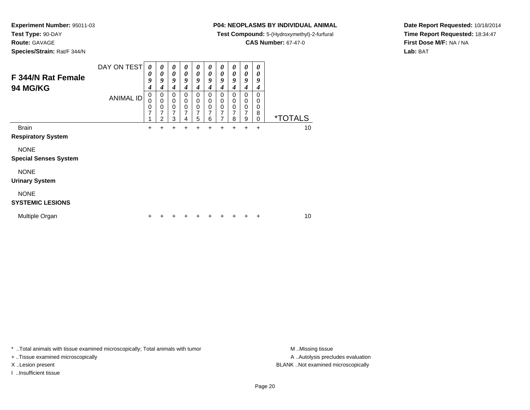**Route:** GAVAGE

**Species/Strain:** Rat/F 344/N

### **P04: NEOPLASMS BY INDIVIDUAL ANIMAL**

**Test Compound:** 5-(Hydroxymethyl)-2-furfural

**CAS Number:** 67-47-0

**Date Report Requested:** 10/18/2014**Time Report Requested:** 18:34:47**First Dose M/F:** NA / NA**Lab:** BAT

| F 344/N Rat Female<br>94 MG/KG              | DAY ON TEST      | $\boldsymbol{\theta}$<br>0<br>9<br>$\boldsymbol{4}$ | $\boldsymbol{\theta}$<br>0<br>9<br>4 | 0<br>$\boldsymbol{\theta}$<br>9<br>4              | $\boldsymbol{\theta}$<br>0<br>9<br>4 | 0<br>$\boldsymbol{\theta}$<br>9<br>4                | 0<br>$\boldsymbol{\theta}$<br>9<br>4      | 0<br>$\boldsymbol{\theta}$<br>9<br>4                             | $\boldsymbol{\theta}$<br>$\boldsymbol{\theta}$<br>9<br>4 | $\boldsymbol{\theta}$<br>$\boldsymbol{\theta}$<br>9<br>$\boldsymbol{4}$ | 0<br>0<br>9<br>4                    |                       |    |
|---------------------------------------------|------------------|-----------------------------------------------------|--------------------------------------|---------------------------------------------------|--------------------------------------|-----------------------------------------------------|-------------------------------------------|------------------------------------------------------------------|----------------------------------------------------------|-------------------------------------------------------------------------|-------------------------------------|-----------------------|----|
|                                             | <b>ANIMAL ID</b> | 0<br>0<br>0<br>7<br>1                               | 0<br>0<br>0<br>7<br>2                | $\mathbf 0$<br>$\mathbf 0$<br>$\pmb{0}$<br>7<br>3 | 0<br>$\mathbf 0$<br>0<br>7<br>4      | $\mathbf 0$<br>$\mathbf 0$<br>$\mathbf 0$<br>7<br>5 | 0<br>$\mathbf 0$<br>$\mathbf 0$<br>7<br>6 | $\mathbf 0$<br>$\mathbf 0$<br>$\mathbf 0$<br>7<br>$\overline{7}$ | $\Omega$<br>$\mathbf 0$<br>$\mathbf 0$<br>8              | 0<br>$\mathbf 0$<br>$\pmb{0}$<br>7<br>9                                 | 0<br>$\Omega$<br>0<br>8<br>$\Omega$ | <i><b>*TOTALS</b></i> |    |
| <b>Brain</b><br><b>Respiratory System</b>   |                  | $\ddot{}$                                           | +                                    | $\ddot{}$                                         | +                                    | +                                                   | +                                         | +                                                                | +                                                        | $\pm$                                                                   | $\ddot{}$                           |                       | 10 |
| <b>NONE</b><br><b>Special Senses System</b> |                  |                                                     |                                      |                                                   |                                      |                                                     |                                           |                                                                  |                                                          |                                                                         |                                     |                       |    |
| <b>NONE</b><br><b>Urinary System</b>        |                  |                                                     |                                      |                                                   |                                      |                                                     |                                           |                                                                  |                                                          |                                                                         |                                     |                       |    |
| <b>NONE</b><br><b>SYSTEMIC LESIONS</b>      |                  |                                                     |                                      |                                                   |                                      |                                                     |                                           |                                                                  |                                                          |                                                                         |                                     |                       |    |
| Multiple Organ                              |                  |                                                     |                                      |                                                   |                                      |                                                     |                                           |                                                                  |                                                          |                                                                         | ٠                                   |                       | 10 |

\* ..Total animals with tissue examined microscopically; Total animals with tumor **M** . Missing tissue M ..Missing tissue

+ ..Tissue examined microscopically

I ..Insufficient tissue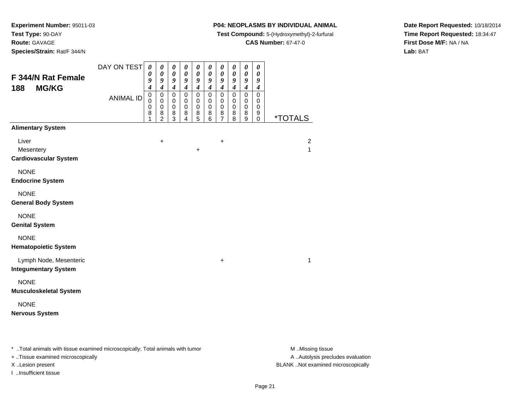**Route:** GAVAGE

**Species/Strain:** Rat/F 344/N

+ ..Tissue examined microscopically

I ..Insufficient tissue

#### **P04: NEOPLASMS BY INDIVIDUAL ANIMAL**

**Test Compound:** 5-(Hydroxymethyl)-2-furfural

**CAS Number:** 67-47-0

A ..Autolysis precludes evaluation

Page 21

**Date Report Requested:** 10/18/2014**Time Report Requested:** 18:34:47**First Dose M/F:** NA / NA**Lab:** BAT

| F 344/N Rat Female<br><b>MG/KG</b><br>188                                      | DAY ON TEST      | $\boldsymbol{\theta}$<br>$\boldsymbol{\theta}$<br>9<br>$\overline{\mathcal{A}}$ | 0<br>$\boldsymbol{\theta}$<br>9<br>$\boldsymbol{4}$  | 0<br>$\boldsymbol{\theta}$<br>$\boldsymbol{g}$<br>$\boldsymbol{4}$ | 0<br>$\boldsymbol{\theta}$<br>9<br>$\boldsymbol{4}$ | 0<br>$\pmb{\theta}$<br>9<br>$\boldsymbol{4}$ | 0<br>$\pmb{\theta}$<br>9<br>$\boldsymbol{4}$ | 0<br>$\pmb{\theta}$<br>$\boldsymbol{g}$<br>$\boldsymbol{4}$ | 0<br>$\pmb{\theta}$<br>9<br>$\boldsymbol{4}$ | $\boldsymbol{\theta}$<br>$\boldsymbol{\theta}$<br>$\boldsymbol{9}$<br>$\boldsymbol{4}$ | $\boldsymbol{\theta}$<br>$\boldsymbol{\theta}$<br>9<br>$\boldsymbol{4}$ |                                |
|--------------------------------------------------------------------------------|------------------|---------------------------------------------------------------------------------|------------------------------------------------------|--------------------------------------------------------------------|-----------------------------------------------------|----------------------------------------------|----------------------------------------------|-------------------------------------------------------------|----------------------------------------------|----------------------------------------------------------------------------------------|-------------------------------------------------------------------------|--------------------------------|
|                                                                                | <b>ANIMAL ID</b> | $\pmb{0}$<br>0<br>0<br>8<br>1                                                   | 0<br>$\mathbf 0$<br>$\pmb{0}$<br>8<br>$\overline{c}$ | $\pmb{0}$<br>0<br>$\pmb{0}$<br>8<br>3                              | $\mathbf 0$<br>0<br>0<br>8<br>$\overline{4}$        | 0<br>0<br>$\mathbf 0$<br>8<br>5              | $\mathbf 0$<br>0<br>0<br>8<br>6              | $\mathbf 0$<br>$\mathbf 0$<br>0<br>8<br>7                   | 0<br>0<br>0<br>8<br>8                        | $\pmb{0}$<br>$\mathbf 0$<br>$\mathbf 0$<br>8<br>$\boldsymbol{9}$                       | $\mathbf 0$<br>$\mathbf 0$<br>$\mathbf 0$<br>9<br>$\mathbf 0$           | <i><b>*TOTALS</b></i>          |
| <b>Alimentary System</b>                                                       |                  |                                                                                 |                                                      |                                                                    |                                                     |                                              |                                              |                                                             |                                              |                                                                                        |                                                                         |                                |
| Liver<br>Mesentery<br><b>Cardiovascular System</b>                             |                  |                                                                                 | $\ddot{}$                                            |                                                                    |                                                     | +                                            |                                              | +                                                           |                                              |                                                                                        |                                                                         | $\overline{c}$<br>$\mathbf{1}$ |
| <b>NONE</b><br><b>Endocrine System</b>                                         |                  |                                                                                 |                                                      |                                                                    |                                                     |                                              |                                              |                                                             |                                              |                                                                                        |                                                                         |                                |
| <b>NONE</b><br><b>General Body System</b>                                      |                  |                                                                                 |                                                      |                                                                    |                                                     |                                              |                                              |                                                             |                                              |                                                                                        |                                                                         |                                |
| <b>NONE</b><br><b>Genital System</b>                                           |                  |                                                                                 |                                                      |                                                                    |                                                     |                                              |                                              |                                                             |                                              |                                                                                        |                                                                         |                                |
| <b>NONE</b><br><b>Hematopoietic System</b>                                     |                  |                                                                                 |                                                      |                                                                    |                                                     |                                              |                                              |                                                             |                                              |                                                                                        |                                                                         |                                |
| Lymph Node, Mesenteric<br><b>Integumentary System</b>                          |                  |                                                                                 |                                                      |                                                                    |                                                     |                                              |                                              | $\ddot{}$                                                   |                                              |                                                                                        |                                                                         | 1                              |
| <b>NONE</b><br><b>Musculoskeletal System</b>                                   |                  |                                                                                 |                                                      |                                                                    |                                                     |                                              |                                              |                                                             |                                              |                                                                                        |                                                                         |                                |
| <b>NONE</b><br><b>Nervous System</b>                                           |                  |                                                                                 |                                                      |                                                                    |                                                     |                                              |                                              |                                                             |                                              |                                                                                        |                                                                         |                                |
| * Total animals with tissue examined microscopically; Total animals with tumor |                  |                                                                                 |                                                      |                                                                    |                                                     |                                              |                                              |                                                             |                                              |                                                                                        |                                                                         | M Missing tissue               |

X ..Lesion present BLANK ..Not examined microscopically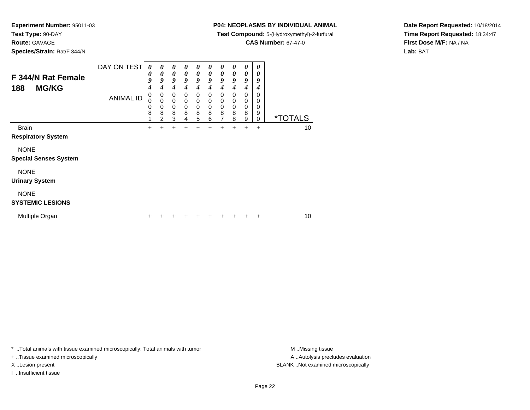**Route:** GAVAGE

**Species/Strain:** Rat/F 344/N

### **P04: NEOPLASMS BY INDIVIDUAL ANIMAL**

**Test Compound:** 5-(Hydroxymethyl)-2-furfural

**CAS Number:** 67-47-0

**Date Report Requested:** 10/18/2014**Time Report Requested:** 18:34:47**First Dose M/F:** NA / NA**Lab:** BAT

| F 344/N Rat Female<br><b>MG/KG</b><br>188   | DAY ON TEST<br><b>ANIMAL ID</b> | 0<br>0<br>9<br>4<br>$\boldsymbol{0}$<br>0<br>0<br>8 | 0<br>0<br>9<br>4<br>0<br>0<br>0<br>8<br>2 | 0<br>0<br>9<br>4<br>0<br>0<br>0<br>8<br>3 | 0<br>$\boldsymbol{\theta}$<br>9<br>4<br>0<br>0<br>$\Omega$<br>8 | 0<br>$\boldsymbol{\theta}$<br>9<br>4<br>$\mathbf 0$<br>0<br>$\mathbf 0$<br>8<br>5 | 0<br>$\boldsymbol{\theta}$<br>9<br>4<br>$\Omega$<br>0<br>$\mathbf 0$<br>8<br>6 | 0<br>$\boldsymbol{\theta}$<br>9<br>4<br>0<br>0<br>$\mathbf 0$<br>8<br>7 | 0<br>$\boldsymbol{\theta}$<br>9<br>4<br>0<br>$\Omega$<br>$\mathbf 0$<br>8<br>8 | 0<br>0<br>9<br>4<br>0<br>0<br>$\mathbf 0$<br>8<br>9 | $\boldsymbol{\theta}$<br>0<br>9<br>4<br>0<br>$\Omega$<br>$\mathbf 0$<br>9<br>$\Omega$ | <i><b>*TOTALS</b></i> |
|---------------------------------------------|---------------------------------|-----------------------------------------------------|-------------------------------------------|-------------------------------------------|-----------------------------------------------------------------|-----------------------------------------------------------------------------------|--------------------------------------------------------------------------------|-------------------------------------------------------------------------|--------------------------------------------------------------------------------|-----------------------------------------------------|---------------------------------------------------------------------------------------|-----------------------|
| <b>Brain</b><br><b>Respiratory System</b>   |                                 | +                                                   |                                           | +                                         | 4                                                               |                                                                                   |                                                                                |                                                                         |                                                                                | +                                                   | $\ddot{}$                                                                             | 10                    |
| <b>NONE</b><br><b>Special Senses System</b> |                                 |                                                     |                                           |                                           |                                                                 |                                                                                   |                                                                                |                                                                         |                                                                                |                                                     |                                                                                       |                       |
| <b>NONE</b><br><b>Urinary System</b>        |                                 |                                                     |                                           |                                           |                                                                 |                                                                                   |                                                                                |                                                                         |                                                                                |                                                     |                                                                                       |                       |
| <b>NONE</b><br><b>SYSTEMIC LESIONS</b>      |                                 |                                                     |                                           |                                           |                                                                 |                                                                                   |                                                                                |                                                                         |                                                                                |                                                     |                                                                                       |                       |
| Multiple Organ                              |                                 |                                                     |                                           |                                           |                                                                 |                                                                                   |                                                                                |                                                                         |                                                                                |                                                     | ٠                                                                                     | 10                    |

\* ..Total animals with tissue examined microscopically; Total animals with tumor **M** . Missing tissue M ..Missing tissue

+ ..Tissue examined microscopically

I ..Insufficient tissue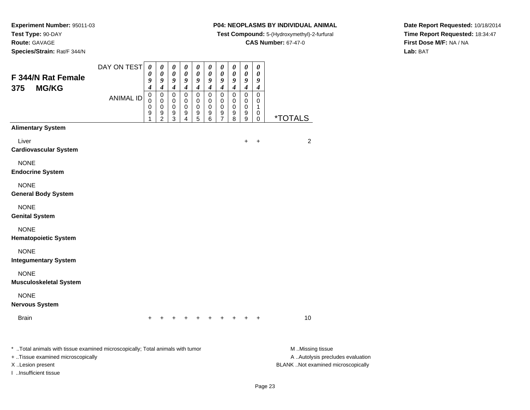**Route:** GAVAGE

**Species/Strain:** Rat/F 344/N

## **P04: NEOPLASMS BY INDIVIDUAL ANIMAL**

**Test Compound:** 5-(Hydroxymethyl)-2-furfural

**CAS Number:** 67-47-0

**Date Report Requested:** 10/18/2014**Time Report Requested:** 18:34:47**First Dose M/F:** NA / NA**Lab:** BAT

| F 344/N Rat Female                                                                                                                                               | DAY ON TEST      | $\boldsymbol{\theta}$<br>0<br>9<br>4 | $\pmb{\theta}$<br>0<br>9<br>4                            | $\pmb{\theta}$<br>0<br>9<br>$\boldsymbol{4}$ | 0<br>0<br>9<br>$\boldsymbol{4}$ | 0<br>0<br>9<br>4                | 0<br>0<br>9<br>4      | $\boldsymbol{\theta}$<br>0<br>9<br>$\boldsymbol{4}$    | $\pmb{\theta}$<br>0<br>$\boldsymbol{g}$<br>$\boldsymbol{4}$ | $\pmb{\theta}$<br>0<br>$\pmb{9}$<br>$\boldsymbol{4}$   | $\pmb{\theta}$<br>0<br>9<br>$\boldsymbol{4}$ |                                                                                             |
|------------------------------------------------------------------------------------------------------------------------------------------------------------------|------------------|--------------------------------------|----------------------------------------------------------|----------------------------------------------|---------------------------------|---------------------------------|-----------------------|--------------------------------------------------------|-------------------------------------------------------------|--------------------------------------------------------|----------------------------------------------|---------------------------------------------------------------------------------------------|
| <b>MG/KG</b><br>375                                                                                                                                              | <b>ANIMAL ID</b> | $\mathbf 0$<br>0<br>0<br>9           | $\mathbf 0$<br>$\mathbf 0$<br>$\pmb{0}$<br>$\frac{9}{2}$ | 0<br>0<br>0<br>9<br>3                        | 0<br>0<br>$\mathbf 0$<br>9<br>4 | $\mathbf 0$<br>0<br>0<br>9<br>5 | 0<br>0<br>0<br>9<br>6 | $\mathbf 0$<br>0<br>$\mathbf 0$<br>9<br>$\overline{7}$ | $\mathbf 0$<br>0<br>$\mathbf 0$<br>9<br>8                   | $\overline{0}$<br>$\mathbf 0$<br>$\mathbf 0$<br>9<br>9 | $\mathbf 0$<br>0<br>1<br>0<br>$\pmb{0}$      | <i><b>*TOTALS</b></i>                                                                       |
| <b>Alimentary System</b>                                                                                                                                         |                  |                                      |                                                          |                                              |                                 |                                 |                       |                                                        |                                                             |                                                        |                                              |                                                                                             |
| Liver<br><b>Cardiovascular System</b>                                                                                                                            |                  |                                      |                                                          |                                              |                                 |                                 |                       |                                                        |                                                             | +                                                      | $\ddot{}$                                    | $\overline{c}$                                                                              |
| <b>NONE</b><br><b>Endocrine System</b>                                                                                                                           |                  |                                      |                                                          |                                              |                                 |                                 |                       |                                                        |                                                             |                                                        |                                              |                                                                                             |
| <b>NONE</b><br><b>General Body System</b>                                                                                                                        |                  |                                      |                                                          |                                              |                                 |                                 |                       |                                                        |                                                             |                                                        |                                              |                                                                                             |
| <b>NONE</b><br><b>Genital System</b>                                                                                                                             |                  |                                      |                                                          |                                              |                                 |                                 |                       |                                                        |                                                             |                                                        |                                              |                                                                                             |
| <b>NONE</b><br><b>Hematopoietic System</b>                                                                                                                       |                  |                                      |                                                          |                                              |                                 |                                 |                       |                                                        |                                                             |                                                        |                                              |                                                                                             |
| <b>NONE</b><br><b>Integumentary System</b>                                                                                                                       |                  |                                      |                                                          |                                              |                                 |                                 |                       |                                                        |                                                             |                                                        |                                              |                                                                                             |
| <b>NONE</b><br><b>Musculoskeletal System</b>                                                                                                                     |                  |                                      |                                                          |                                              |                                 |                                 |                       |                                                        |                                                             |                                                        |                                              |                                                                                             |
| <b>NONE</b><br><b>Nervous System</b>                                                                                                                             |                  |                                      |                                                          |                                              |                                 |                                 |                       |                                                        |                                                             |                                                        |                                              |                                                                                             |
| <b>Brain</b>                                                                                                                                                     |                  | +                                    |                                                          |                                              |                                 |                                 |                       |                                                        |                                                             |                                                        | $\ddot{}$                                    | 10                                                                                          |
| * Total animals with tissue examined microscopically; Total animals with tumor<br>+ Tissue examined microscopically<br>X Lesion present<br>I Insufficient tissue |                  |                                      |                                                          |                                              |                                 |                                 |                       |                                                        |                                                             |                                                        |                                              | M Missing tissue<br>A  Autolysis precludes evaluation<br>BLANK Not examined microscopically |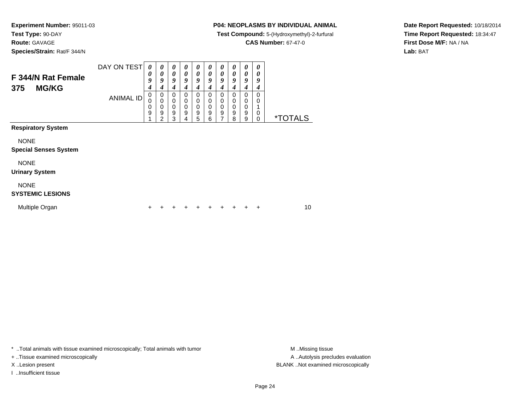**Route:** GAVAGE

**Species/Strain:** Rat/F 344/N

#### **P04: NEOPLASMS BY INDIVIDUAL ANIMAL**

**Test Compound:** 5-(Hydroxymethyl)-2-furfural

**CAS Number:** 67-47-0

**Date Report Requested:** 10/18/2014**Time Report Requested:** 18:34:47**First Dose M/F:** NA / NA**Lab:** BAT

| F 344/N Rat Female<br><b>MG/KG</b><br>375   | DAY ON TEST      | 0<br>$\boldsymbol{\theta}$<br>9<br>$\boldsymbol{4}$ | 0<br>0<br>9<br>4      | 0<br>$\boldsymbol{\theta}$<br>9<br>4      | 0<br>0<br>9<br>4                              | 0<br>$\boldsymbol{\theta}$<br>9<br>4                | 0<br>$\boldsymbol{\theta}$<br>$\boldsymbol{q}$<br>4 | 0<br>0<br>9<br>4                          | 0<br>$\boldsymbol{\theta}$<br>9<br>4                | 0<br>0<br>9<br>4                          | 0<br>0<br>9<br>4                                    |                       |
|---------------------------------------------|------------------|-----------------------------------------------------|-----------------------|-------------------------------------------|-----------------------------------------------|-----------------------------------------------------|-----------------------------------------------------|-------------------------------------------|-----------------------------------------------------|-------------------------------------------|-----------------------------------------------------|-----------------------|
|                                             | <b>ANIMAL ID</b> | $\pmb{0}$<br>0<br>0<br>9                            | 0<br>0<br>0<br>9<br>2 | $\mathbf 0$<br>0<br>$\mathbf 0$<br>9<br>3 | $\Omega$<br>$\Omega$<br>$\mathbf 0$<br>9<br>4 | $\mathbf 0$<br>$\mathbf 0$<br>$\mathbf 0$<br>9<br>5 | $\Omega$<br>0<br>$\mathbf 0$<br>9<br>6              | 0<br>$\mathbf 0$<br>$\mathbf 0$<br>9<br>7 | $\mathbf 0$<br>$\mathbf 0$<br>$\mathbf 0$<br>9<br>8 | 0<br>$\mathbf 0$<br>$\mathbf 0$<br>9<br>9 | $\mathbf 0$<br>0<br>1<br>$\mathbf 0$<br>$\mathbf 0$ | <i><b>*TOTALS</b></i> |
| <b>Respiratory System</b>                   |                  |                                                     |                       |                                           |                                               |                                                     |                                                     |                                           |                                                     |                                           |                                                     |                       |
| <b>NONE</b><br><b>Special Senses System</b> |                  |                                                     |                       |                                           |                                               |                                                     |                                                     |                                           |                                                     |                                           |                                                     |                       |
| <b>NONE</b><br><b>Urinary System</b>        |                  |                                                     |                       |                                           |                                               |                                                     |                                                     |                                           |                                                     |                                           |                                                     |                       |
| <b>NONE</b><br><b>SYSTEMIC LESIONS</b>      |                  |                                                     |                       |                                           |                                               |                                                     |                                                     |                                           |                                                     |                                           |                                                     |                       |
| Multiple Organ                              |                  | +                                                   |                       |                                           |                                               |                                                     | +                                                   |                                           | +                                                   |                                           | ÷                                                   | 10                    |

\* ..Total animals with tissue examined microscopically; Total animals with tumor **M** . Missing tissue M ..Missing tissue

+ ..Tissue examined microscopically

I ..Insufficient tissue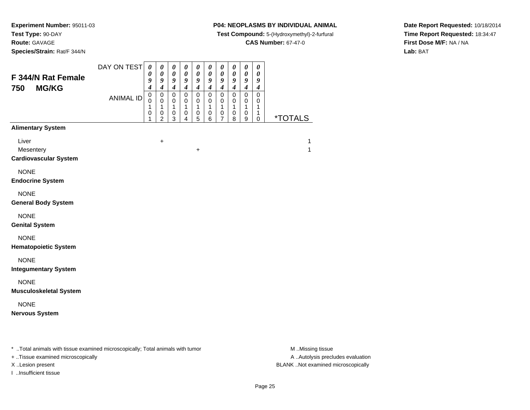**Route:** GAVAGE

**Species/Strain:** Rat/F 344/N

#### **P04: NEOPLASMS BY INDIVIDUAL ANIMAL**

**Test Compound:** 5-(Hydroxymethyl)-2-furfural

**CAS Number:** 67-47-0

**Date Report Requested:** 10/18/2014**Time Report Requested:** 18:34:47**First Dose M/F:** NA / NA**Lab:** BAT

| <b>F 344/N Rat Female</b><br>750<br><b>MG/KG</b>   | DAY ON TEST      | $\pmb{\theta}$<br>$\boldsymbol{\theta}$<br>9<br>$\overline{4}$ | $\pmb{\theta}$<br>$\boldsymbol{\theta}$<br>9<br>$\overline{\boldsymbol{4}}$ | $\boldsymbol{\theta}$<br>$\pmb{\theta}$<br>9<br>$\boldsymbol{4}$ | $\boldsymbol{\theta}$<br>$\boldsymbol{\theta}$<br>9<br>$\boldsymbol{4}$ | $\boldsymbol{\theta}$<br>$\boldsymbol{\theta}$<br>9<br>$\overline{\boldsymbol{4}}$ | $\boldsymbol{\theta}$<br>$\boldsymbol{\theta}$<br>9<br>$\overline{\boldsymbol{4}}$ | $\boldsymbol{\theta}$<br>$\boldsymbol{\theta}$<br>$\boldsymbol{9}$<br>$\boldsymbol{4}$ | $\boldsymbol{\theta}$<br>$\boldsymbol{\theta}$<br>9<br>$\boldsymbol{4}$ | $\pmb{\theta}$<br>$\boldsymbol{\theta}$<br>9<br>$\boldsymbol{4}$ | $\pmb{\theta}$<br>0<br>9<br>$\boldsymbol{4}$       |                       |
|----------------------------------------------------|------------------|----------------------------------------------------------------|-----------------------------------------------------------------------------|------------------------------------------------------------------|-------------------------------------------------------------------------|------------------------------------------------------------------------------------|------------------------------------------------------------------------------------|----------------------------------------------------------------------------------------|-------------------------------------------------------------------------|------------------------------------------------------------------|----------------------------------------------------|-----------------------|
|                                                    | <b>ANIMAL ID</b> | $\mathbf 0$<br>$\mathbf 0$<br>1<br>0<br>1                      | $\pmb{0}$<br>$\mathbf 0$<br>1<br>0<br>$\overline{2}$                        | $\mathsf 0$<br>$\mathbf 0$<br>1<br>$\mathbf 0$<br>$\mathbf{3}$   | $\mathbf 0$<br>$\mathbf 0$<br>$\mathbf{1}$<br>0<br>$\overline{4}$       | $\mathsf 0$<br>$\mathbf 0$<br>$\mathbf{1}$<br>$\pmb{0}$<br>5                       | $\mathsf 0$<br>$\mathbf 0$<br>1<br>$\pmb{0}$<br>6                                  | $\pmb{0}$<br>0<br>1<br>0<br>$\overline{7}$                                             | $\mathbf 0$<br>$\mathbf 0$<br>$\mathbf{1}$<br>$\pmb{0}$<br>8            | $\pmb{0}$<br>$\mathbf 0$<br>1<br>0<br>9                          | $\pmb{0}$<br>$\mathbf 0$<br>1<br>$\mathbf{1}$<br>0 | <i><b>*TOTALS</b></i> |
| <b>Alimentary System</b>                           |                  |                                                                |                                                                             |                                                                  |                                                                         |                                                                                    |                                                                                    |                                                                                        |                                                                         |                                                                  |                                                    |                       |
| Liver<br>Mesentery<br><b>Cardiovascular System</b> |                  |                                                                | $\ddot{}$                                                                   |                                                                  |                                                                         | $\ddot{}$                                                                          |                                                                                    |                                                                                        |                                                                         |                                                                  |                                                    | 1<br>1                |
| <b>NONE</b><br><b>Endocrine System</b>             |                  |                                                                |                                                                             |                                                                  |                                                                         |                                                                                    |                                                                                    |                                                                                        |                                                                         |                                                                  |                                                    |                       |
| <b>NONE</b><br><b>General Body System</b>          |                  |                                                                |                                                                             |                                                                  |                                                                         |                                                                                    |                                                                                    |                                                                                        |                                                                         |                                                                  |                                                    |                       |
| <b>NONE</b><br><b>Genital System</b>               |                  |                                                                |                                                                             |                                                                  |                                                                         |                                                                                    |                                                                                    |                                                                                        |                                                                         |                                                                  |                                                    |                       |
| <b>NONE</b><br><b>Hematopoietic System</b>         |                  |                                                                |                                                                             |                                                                  |                                                                         |                                                                                    |                                                                                    |                                                                                        |                                                                         |                                                                  |                                                    |                       |
| <b>NONE</b><br><b>Integumentary System</b>         |                  |                                                                |                                                                             |                                                                  |                                                                         |                                                                                    |                                                                                    |                                                                                        |                                                                         |                                                                  |                                                    |                       |
| <b>NONE</b><br><b>Musculoskeletal System</b>       |                  |                                                                |                                                                             |                                                                  |                                                                         |                                                                                    |                                                                                    |                                                                                        |                                                                         |                                                                  |                                                    |                       |
| <b>NONE</b><br><b>Nervous System</b>               |                  |                                                                |                                                                             |                                                                  |                                                                         |                                                                                    |                                                                                    |                                                                                        |                                                                         |                                                                  |                                                    |                       |
|                                                    |                  |                                                                |                                                                             |                                                                  |                                                                         |                                                                                    |                                                                                    |                                                                                        |                                                                         |                                                                  |                                                    |                       |

\* ..Total animals with tissue examined microscopically; Total animals with tumor **M** . Missing tissue M ..Missing tissue

+ ..Tissue examined microscopically

I ..Insufficient tissue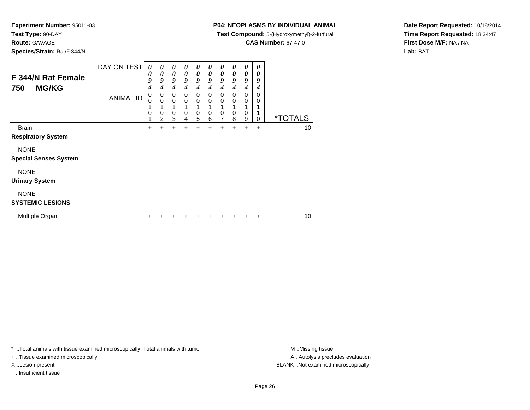**Route:** GAVAGE

**Species/Strain:** Rat/F 344/N

### **P04: NEOPLASMS BY INDIVIDUAL ANIMAL**

**Test Compound:** 5-(Hydroxymethyl)-2-furfural

**CAS Number:** 67-47-0

**Date Report Requested:** 10/18/2014**Time Report Requested:** 18:34:47**First Dose M/F:** NA / NA**Lab:** BAT

| F 344/N Rat Female<br><b>MG/KG</b><br>750   | DAY ON TEST<br><b>ANIMAL ID</b> | 0<br>0<br>9<br>4<br>0<br>0<br>0 | 0<br>0<br>9<br>4<br>0<br>$\Omega$<br>$\Omega$<br>2 | 0<br>0<br>9<br>4<br>0<br>0<br>0<br>3 | 0<br>0<br>9<br>4<br>0<br>0<br>0<br>4 | 0<br>0<br>9<br>4<br>0<br>0<br>0<br>5 | 0<br>0<br>9<br>4<br>0<br>0<br>0<br>6 | 0<br>0<br>9<br>4<br>0<br>0<br>0<br>7 | 0<br>0<br>9<br>4<br>0<br>0<br>0<br>8 | 0<br>0<br>9<br>4<br>0<br>0<br>0<br>9 | 0<br>0<br>9<br>4<br>0<br>0<br>1<br>$\mathbf 0$ | <i><b>*TOTALS</b></i> |  |
|---------------------------------------------|---------------------------------|---------------------------------|----------------------------------------------------|--------------------------------------|--------------------------------------|--------------------------------------|--------------------------------------|--------------------------------------|--------------------------------------|--------------------------------------|------------------------------------------------|-----------------------|--|
| <b>Brain</b><br><b>Respiratory System</b>   |                                 |                                 |                                                    |                                      |                                      | 4                                    | +                                    | +                                    | +                                    | +                                    | $\ddot{}$                                      | 10                    |  |
| <b>NONE</b><br><b>Special Senses System</b> |                                 |                                 |                                                    |                                      |                                      |                                      |                                      |                                      |                                      |                                      |                                                |                       |  |
| <b>NONE</b><br><b>Urinary System</b>        |                                 |                                 |                                                    |                                      |                                      |                                      |                                      |                                      |                                      |                                      |                                                |                       |  |
| <b>NONE</b><br><b>SYSTEMIC LESIONS</b>      |                                 |                                 |                                                    |                                      |                                      |                                      |                                      |                                      |                                      |                                      |                                                |                       |  |
| Multiple Organ                              |                                 |                                 |                                                    |                                      |                                      |                                      |                                      |                                      |                                      |                                      | ÷                                              | 10                    |  |

\* ..Total animals with tissue examined microscopically; Total animals with tumor **M** . Missing tissue M ..Missing tissue

+ ..Tissue examined microscopically

I ..Insufficient tissue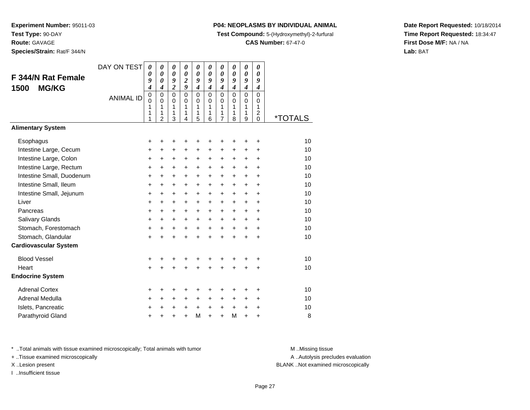**Species/Strain:** Rat/F 344/N

#### **P04: NEOPLASMS BY INDIVIDUAL ANIMAL**

**Test Compound:** 5-(Hydroxymethyl)-2-furfural

**CAS Number:** 67-47-0

**Date Report Requested:** 10/18/2014**Time Report Requested:** 18:34:47**First Dose M/F:** NA / NA**Lab:** BAT

| F 344/N Rat Female<br><b>MG/KG</b><br>1500                                                                                                      | DAY ON TEST<br><b>ANIMAL ID</b> | $\boldsymbol{\theta}$<br>0<br>9<br>4<br>$\pmb{0}$<br>$\mathbf 0$<br>1<br>1<br>1 | $\boldsymbol{\theta}$<br>$\boldsymbol{\theta}$<br>$\boldsymbol{\theta}$<br>$\boldsymbol{4}$<br>$\mathbf 0$<br>$\mathbf 0$<br>1<br>1<br>$\overline{2}$ | 0<br>$\boldsymbol{\theta}$<br>9<br>$\overline{2}$<br>$\mathbf 0$<br>$\mathbf 0$<br>1<br>1<br>3 | 0<br>$\boldsymbol{\theta}$<br>$\overline{2}$<br>9<br>$\mathbf 0$<br>0<br>$\mathbf{1}$<br>1<br>4 | 0<br>0<br>9<br>$\boldsymbol{4}$<br>$\mathbf 0$<br>$\mathbf 0$<br>1<br>1<br>5    | 0<br>$\boldsymbol{\theta}$<br>9<br>$\boldsymbol{4}$<br>$\Omega$<br>$\Omega$<br>1<br>1<br>6 | 0<br>$\boldsymbol{\theta}$<br>9<br>$\boldsymbol{4}$<br>$\mathbf 0$<br>$\mathbf 0$<br>1<br>1<br>$\overline{7}$ | 0<br>0<br>9<br>$\boldsymbol{4}$<br>$\mathbf 0$<br>$\Omega$<br>$\mathbf{1}$<br>1<br>8 | 0<br>0<br>9<br>$\boldsymbol{4}$<br>0<br>0<br>1<br>1<br>9            | 0<br>0<br>9<br>$\boldsymbol{4}$<br>0<br>0<br>1<br>$\overline{c}$<br>$\Omega$            | <i><b>*TOTALS</b></i>                  |
|-------------------------------------------------------------------------------------------------------------------------------------------------|---------------------------------|---------------------------------------------------------------------------------|-------------------------------------------------------------------------------------------------------------------------------------------------------|------------------------------------------------------------------------------------------------|-------------------------------------------------------------------------------------------------|---------------------------------------------------------------------------------|--------------------------------------------------------------------------------------------|---------------------------------------------------------------------------------------------------------------|--------------------------------------------------------------------------------------|---------------------------------------------------------------------|-----------------------------------------------------------------------------------------|----------------------------------------|
| <b>Alimentary System</b>                                                                                                                        |                                 |                                                                                 |                                                                                                                                                       |                                                                                                |                                                                                                 |                                                                                 |                                                                                            |                                                                                                               |                                                                                      |                                                                     |                                                                                         |                                        |
| Esophagus<br>Intestine Large, Cecum<br>Intestine Large, Colon<br>Intestine Large, Rectum                                                        |                                 | +<br>+<br>+<br>+                                                                | +<br>$\ddot{}$<br>+<br>$\ddot{}$                                                                                                                      | +<br>$\ddot{}$<br>+<br>$\ddot{}$                                                               | +<br>$\ddot{}$<br>+<br>+                                                                        | +<br>$\ddot{}$<br>+<br>$\ddot{}$                                                | +<br>$\ddot{}$<br>+<br>$\ddot{}$                                                           | +<br>$\ddot{}$<br>+<br>$\ddot{}$                                                                              | $\ddot{}$<br>$\pm$<br>$\ddot{}$                                                      | +<br>$\pm$<br>$\pm$<br>$+$                                          | +<br>+<br>$\ddot{}$<br>$\ddot{}$                                                        | 10<br>10<br>10<br>10                   |
| Intestine Small, Duodenum<br>Intestine Small, Ileum<br>Intestine Small, Jejunum<br>Liver<br>Pancreas<br>Salivary Glands<br>Stomach, Forestomach |                                 | $\ddot{}$<br>+<br>+<br>$\ddot{}$<br>$\ddot{}$<br>+<br>+                         | $\ddot{}$<br>$\ddot{}$<br>+<br>$\ddot{}$<br>$\ddot{}$<br>$\ddot{}$<br>+                                                                               | $\ddot{}$<br>$\ddot{}$<br>+<br>$\ddot{}$<br>$\ddot{}$<br>$\ddot{}$<br>+                        | $\ddot{}$<br>+<br>+<br>$\ddot{}$<br>$\ddot{}$<br>+<br>+                                         | $\ddot{}$<br>$\ddot{}$<br>+<br>$\ddot{}$<br>$\ddot{}$<br>$\ddot{}$<br>$\ddot{}$ | $\ddot{}$<br>$\ddot{}$<br>+<br>$\ddot{}$<br>$\ddot{}$<br>$\ddot{}$<br>$\ddot{}$            | $\ddot{}$<br>$\ddot{}$<br>+<br>$\ddot{}$<br>$\ddot{}$<br>$\ddot{}$<br>$\ddot{}$                               | $+$<br>$\ddot{}$<br>$\pm$<br>$\ddot{}$<br>$+$<br>$\ddot{}$<br>$\ddot{}$              | $\ddot{}$<br>+<br>$\pm$<br>$\ddot{}$<br>$\ddot{}$<br>+<br>$\ddot{}$ | $\ddot{}$<br>$\ddot{}$<br>$\ddot{}$<br>$\ddot{}$<br>$\ddot{}$<br>$\ddot{}$<br>$\ddot{}$ | 10<br>10<br>10<br>10<br>10<br>10<br>10 |
| Stomach, Glandular<br><b>Cardiovascular System</b>                                                                                              |                                 | $\ddot{}$                                                                       |                                                                                                                                                       | $\ddot{}$                                                                                      | $\ddot{}$                                                                                       | $\ddot{}$                                                                       | $\ddot{}$                                                                                  | $\ddot{}$                                                                                                     | $\ddot{}$                                                                            | $\ddot{}$                                                           | $\ddot{}$                                                                               | 10                                     |
| <b>Blood Vessel</b><br>Heart<br><b>Endocrine System</b>                                                                                         |                                 | +<br>$\ddot{}$                                                                  | +                                                                                                                                                     | +                                                                                              | +                                                                                               | +<br>$\ddot{}$                                                                  | +<br>$\ddot{}$                                                                             | +<br>$\ddot{}$                                                                                                | +<br>$\ddot{}$                                                                       | +<br>$\ddot{}$                                                      | +<br>+                                                                                  | 10<br>10                               |
| <b>Adrenal Cortex</b><br>Adrenal Medulla<br>Islets, Pancreatic<br>Parathyroid Gland                                                             |                                 | +<br>$\ddot{}$<br>+<br>+                                                        | +<br>$\ddot{}$<br>+                                                                                                                                   | +<br>+<br>+<br>+                                                                               | +<br>$\pm$<br>+<br>$\ddot{}$                                                                    | +<br>+<br>$\ddot{}$<br>M                                                        | +<br>+<br>$\ddot{}$<br>$\ddot{}$                                                           | +<br>+<br>+<br>$\ddot{}$                                                                                      | ٠<br>$\ddot{}$<br>$\ddot{}$<br>M                                                     | +<br>$\pm$<br>$\ddot{}$<br>$\ddot{}$                                | ÷<br>$\ddot{}$<br>+<br>+                                                                | 10<br>10<br>10<br>8                    |

\* ..Total animals with tissue examined microscopically; Total animals with tumor **M** . Missing tissue M ..Missing tissue

+ ..Tissue examined microscopically

I ..Insufficient tissue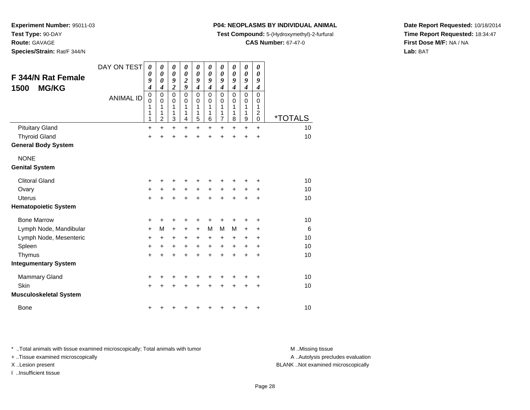**Route:** GAVAGE

**Species/Strain:** Rat/F 344/N

#### **P04: NEOPLASMS BY INDIVIDUAL ANIMAL**

**Test Compound:** 5-(Hydroxymethyl)-2-furfural

**CAS Number:** 67-47-0

**Date Report Requested:** 10/18/2014**Time Report Requested:** 18:34:47**First Dose M/F:** NA / NA**Lab:** BAT

| F 344/N Rat Female<br><b>MG/KG</b><br>1500 | DAY ON TEST      | 0<br>0<br>9<br>4                | 0<br>0<br>0<br>4                                    | 0<br>$\boldsymbol{\theta}$<br>9<br>$\boldsymbol{2}$ | 0<br>0<br>$\overline{\mathbf{c}}$<br>9 | 0<br>$\boldsymbol{\theta}$<br>9<br>4 | 0<br>0<br>9<br>$\boldsymbol{4}$ | 0<br>0<br>9<br>4                             | 0<br>0<br>9<br>$\boldsymbol{4}$        | 0<br>0<br>9<br>4      | 0<br>0<br>9<br>$\boldsymbol{4}$              |                       |
|--------------------------------------------|------------------|---------------------------------|-----------------------------------------------------|-----------------------------------------------------|----------------------------------------|--------------------------------------|---------------------------------|----------------------------------------------|----------------------------------------|-----------------------|----------------------------------------------|-----------------------|
|                                            | <b>ANIMAL ID</b> | $\mathbf 0$<br>0<br>1<br>1<br>1 | $\mathbf 0$<br>$\Omega$<br>1<br>1<br>$\overline{2}$ | $\mathbf 0$<br>$\Omega$<br>1<br>1<br>3              | $\mathbf 0$<br>$\Omega$<br>1<br>1<br>4 | $\mathbf 0$<br>0<br>1<br>1<br>5      | 0<br>0<br>1<br>1<br>6           | $\mathbf 0$<br>0<br>1<br>1<br>$\overline{7}$ | $\mathbf 0$<br>$\Omega$<br>1<br>1<br>8 | 0<br>0<br>1<br>1<br>9 | $\mathbf 0$<br>0<br>1<br>$\overline{c}$<br>0 | <i><b>*TOTALS</b></i> |
| <b>Pituitary Gland</b>                     |                  | $\ddot{}$                       | $\ddot{}$                                           | $\ddot{}$                                           | $\ddot{}$                              | $\ddot{}$                            | $\ddot{}$                       | $\ddot{}$                                    | $\ddot{}$                              | $\ddot{}$             | $\ddot{}$                                    | 10                    |
| <b>Thyroid Gland</b>                       |                  | +                               | $\ddot{}$                                           | $\ddot{}$                                           | $\ddot{}$                              | $\ddot{}$                            | $\ddot{}$                       | $\ddot{}$                                    | $\ddot{}$                              | $\ddot{}$             | $\ddot{}$                                    | 10                    |
| <b>General Body System</b>                 |                  |                                 |                                                     |                                                     |                                        |                                      |                                 |                                              |                                        |                       |                                              |                       |
| <b>NONE</b>                                |                  |                                 |                                                     |                                                     |                                        |                                      |                                 |                                              |                                        |                       |                                              |                       |
| <b>Genital System</b>                      |                  |                                 |                                                     |                                                     |                                        |                                      |                                 |                                              |                                        |                       |                                              |                       |
| <b>Clitoral Gland</b>                      |                  | +                               | +                                                   | +                                                   | +                                      | +                                    | +                               | +                                            |                                        |                       | +                                            | 10                    |
| Ovary                                      |                  | $\ddot{}$                       | +                                                   | $+$                                                 | $\ddot{}$                              | $\ddot{}$                            | $\ddot{}$                       | $\ddot{}$                                    | $\ddot{}$                              | $+$                   | $\ddot{}$                                    | 10                    |
| <b>Uterus</b>                              |                  | $\ddot{}$                       | $\ddot{}$                                           | $\ddot{}$                                           | $\ddot{}$                              | $+$                                  | $\ddot{}$                       | $\ddot{}$                                    | $\ddot{}$                              | $\ddot{}$             | $\ddot{}$                                    | 10                    |
| <b>Hematopoietic System</b>                |                  |                                 |                                                     |                                                     |                                        |                                      |                                 |                                              |                                        |                       |                                              |                       |
| <b>Bone Marrow</b>                         |                  | +                               | +                                                   | +                                                   | +                                      | +                                    | +                               |                                              |                                        |                       | +                                            | 10                    |
| Lymph Node, Mandibular                     |                  | $\ddot{}$                       | M                                                   | $\ddot{}$                                           | $\ddot{}$                              | $\ddot{}$                            | M                               | M                                            | M                                      | $\ddot{}$             | $\ddot{}$                                    | 6                     |
| Lymph Node, Mesenteric                     |                  | +                               | +                                                   | +                                                   | +                                      | $\ddot{}$                            | $\ddot{}$                       | +                                            | +                                      | +                     | $\ddot{}$                                    | 10                    |
| Spleen                                     |                  | $\ddot{}$                       | $\ddot{}$                                           | +                                                   | $\ddot{}$                              | $\ddot{}$                            | $+$                             | $\ddot{}$                                    | $\ddot{}$                              | +                     | $\ddot{}$                                    | 10                    |
| Thymus                                     |                  | $\ddot{}$                       | $\ddot{}$                                           | $\ddot{}$                                           | $\ddot{}$                              | $\ddot{}$                            | $\ddot{}$                       | $\ddot{}$                                    | $\ddot{}$                              | $\ddot{}$             | $\ddot{}$                                    | 10                    |
| <b>Integumentary System</b>                |                  |                                 |                                                     |                                                     |                                        |                                      |                                 |                                              |                                        |                       |                                              |                       |
| <b>Mammary Gland</b>                       |                  | +                               | +                                                   | +                                                   |                                        |                                      |                                 |                                              |                                        |                       | +                                            | 10                    |
| Skin                                       |                  | $\ddot{}$                       | $\ddot{}$                                           | $\ddot{}$                                           | +                                      | $\ddot{}$                            | +                               | $\ddot{}$                                    | +                                      | +                     | $\ddot{}$                                    | 10                    |
| <b>Musculoskeletal System</b>              |                  |                                 |                                                     |                                                     |                                        |                                      |                                 |                                              |                                        |                       |                                              |                       |
| <b>Bone</b>                                |                  | +                               | +                                                   | +                                                   |                                        | +                                    | ┿                               | +                                            | +                                      | +                     | +                                            | 10                    |

\* ..Total animals with tissue examined microscopically; Total animals with tumor **M** . Missing tissue M ..Missing tissue

+ ..Tissue examined microscopically

I ..Insufficient tissue